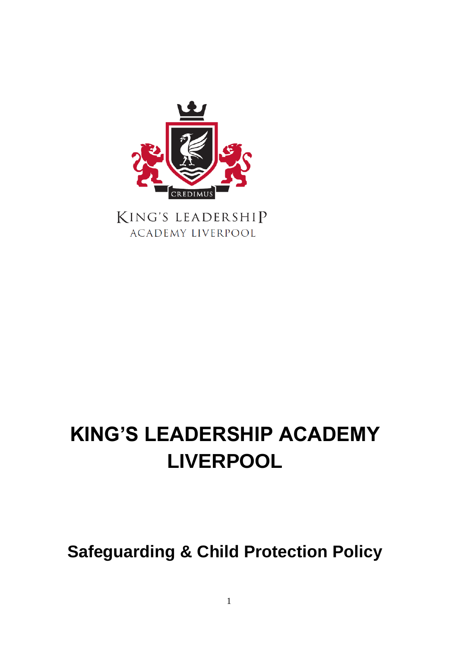

KING'S LEADERSHIP **ACADEMY LIVERPOOL** 

# **KING'S LEADERSHIP ACADEMY LIVERPOOL**

## **Safeguarding & Child Protection Policy**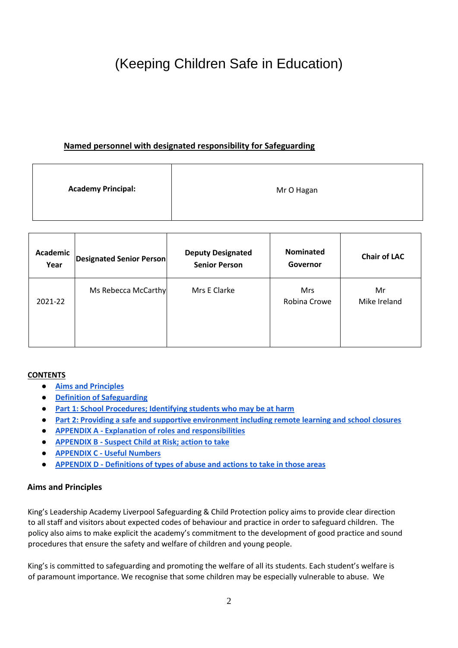## (Keeping Children Safe in Education)

## **Named personnel with designated responsibility for Safeguarding**

| <b>Academy Principal:</b> | Mr O Hagan |
|---------------------------|------------|
|---------------------------|------------|

| Academic<br>Year | <b>Designated Senior Person</b> | <b>Deputy Designated</b><br><b>Senior Person</b> | <b>Nominated</b><br>Governor | <b>Chair of LAC</b> |
|------------------|---------------------------------|--------------------------------------------------|------------------------------|---------------------|
| 2021-22          | Ms Rebecca McCarthy             | Mrs E Clarke                                     | <b>Mrs</b><br>Robina Crowe   | Mr<br>Mike Ireland  |
|                  |                                 |                                                  |                              |                     |

#### **CONTENTS**

- **[Aims and Principles](#page-1-0)**
- **[Definition of Safeguarding](#page-2-0)**
- **[Part 1: School Procedures; Identifying students who may be at harm](#page-3-0)**
- **[Part 2: Providing a safe and supportive environment including remote learning and school closures](#page-10-0)**
- **APPENDIX A - [Explanation of roles and responsibilities](#page-24-0)**
- **APPENDIX B - [Suspect Child at Risk; action to take](#page-25-0)**
- **APPENDIX C - [Useful Numbers](#page-26-0)**
- **APPENDIX D - [Definitions of types of abuse and actions to take in those areas](#page-26-1)**

### <span id="page-1-0"></span>**Aims and Principles**

King's Leadership Academy Liverpool Safeguarding & Child Protection policy aims to provide clear direction to all staff and visitors about expected codes of behaviour and practice in order to safeguard children. The policy also aims to make explicit the academy's commitment to the development of good practice and sound procedures that ensure the safety and welfare of children and young people.

King's is committed to safeguarding and promoting the welfare of all its students. Each student's welfare is of paramount importance. We recognise that some children may be especially vulnerable to abuse. We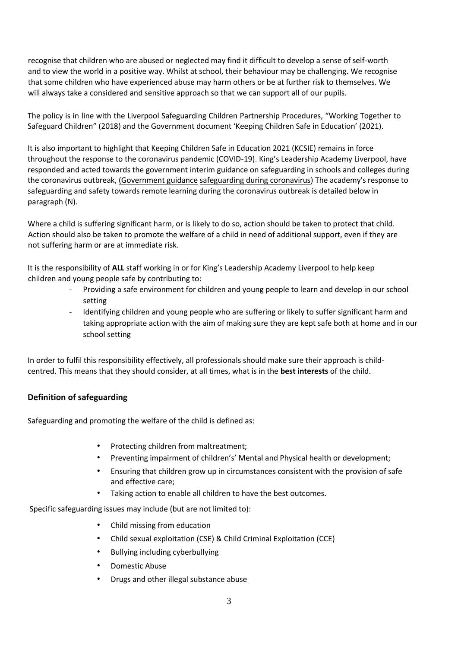recognise that children who are abused or neglected may find it difficult to develop a sense of self-worth and to view the world in a positive way. Whilst at school, their behaviour may be challenging. We recognise that some children who have experienced abuse may harm others or be at further risk to themselves. We will always take a considered and sensitive approach so that we can support all of our pupils.

The policy is in line with the Liverpool Safeguarding Children Partnership Procedures, "Working Together to Safeguard Children" (2018) and the Government document 'Keeping Children Safe in Education' (2021).

It is also important to highlight that Keeping Children Safe in Education 2021 (KCSIE) remains in force throughout the response to the coronavirus pandemic (COVID-19). King's Leadership Academy Liverpool, have responded and acted towards the government interim guidance on safeguarding in schools and colleges during the coronavirus outbreak, [\(Government guidance](https://www.gov.uk/government/publications/covid-19-safeguarding-in-schools-colleges-and-other-providers/) [safeguarding during coronavirus\)](https://www.gov.uk/government/publications/covid-19-safeguarding-in-schools-colleges-and-other-providers/) The academy's response to safeguarding and safety towards remote learning during the coronavirus outbreak is detailed below in paragraph (N).

Where a child is suffering significant harm, or is likely to do so, action should be taken to protect that child. Action should also be taken to promote the welfare of a child in need of additional support, even if they are not suffering harm or are at immediate risk.

It is the responsibility of **ALL** staff working in or for King's Leadership Academy Liverpool to help keep children and young people safe by contributing to:

- Providing a safe environment for children and young people to learn and develop in our school setting
- Identifying children and young people who are suffering or likely to suffer significant harm and taking appropriate action with the aim of making sure they are kept safe both at home and in our school setting

In order to fulfil this responsibility effectively, all professionals should make sure their approach is childcentred. This means that they should consider, at all times, what is in the **best interests** of the child.

## <span id="page-2-0"></span>**Definition of safeguarding**

Safeguarding and promoting the welfare of the child is defined as:

- Protecting children from maltreatment;
- Preventing impairment of children's' Mental and Physical health or development;
- Ensuring that children grow up in circumstances consistent with the provision of safe and effective care;
- Taking action to enable all children to have the best outcomes.

Specific safeguarding issues may include (but are not limited to):

- Child missing from education
- Child sexual exploitation (CSE) & Child Criminal Exploitation (CCE)
- Bullying including cyberbullying
- Domestic Abuse
- Drugs and other illegal substance abuse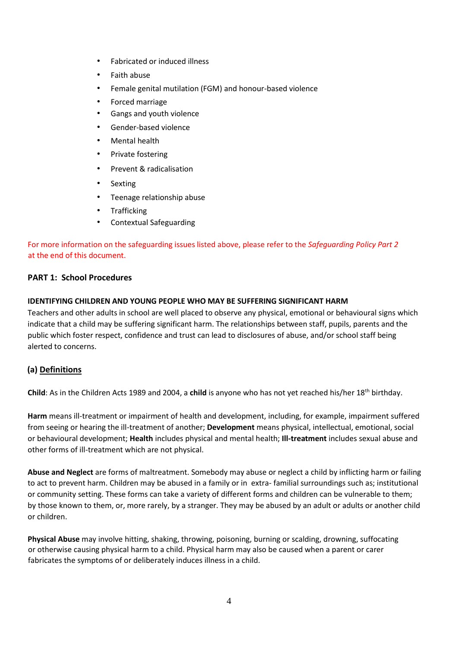- Fabricated or induced illness
- Faith abuse
- Female genital mutilation (FGM) and honour-based violence
- Forced marriage
- Gangs and youth violence
- Gender-based violence
- Mental health
- Private fostering
- Prevent & radicalisation
- Sexting
- Teenage relationship abuse
- **Trafficking**
- Contextual Safeguarding

## For more information on the safeguarding issues listed above, please refer to the *Safeguarding Policy Part 2*  at the end of this document.

## <span id="page-3-0"></span>**PART 1: School Procedures**

### **IDENTIFYING CHILDREN AND YOUNG PEOPLE WHO MAY BE SUFFERING SIGNIFICANT HARM**

Teachers and other adults in school are well placed to observe any physical, emotional or behavioural signs which indicate that a child may be suffering significant harm. The relationships between staff, pupils, parents and the public which foster respect, confidence and trust can lead to disclosures of abuse, and/or school staff being alerted to concerns.

## **(a) Definitions**

**Child**: As in the Children Acts 1989 and 2004, a **child** is anyone who has not yet reached his/her 18th birthday.

**Harm** means ill-treatment or impairment of health and development, including, for example, impairment suffered from seeing or hearing the ill-treatment of another; **Development** means physical, intellectual, emotional, social or behavioural development; **Health** includes physical and mental health; **Ill-treatment** includes sexual abuse and other forms of ill-treatment which are not physical.

**Abuse and Neglect** are forms of maltreatment. Somebody may abuse or neglect a child by inflicting harm or failing to act to prevent harm. Children may be abused in a family or in extra- familial surroundings such as; institutional or community setting. These forms can take a variety of different forms and children can be vulnerable to them; by those known to them, or, more rarely, by a stranger. They may be abused by an adult or adults or another child or children.

**Physical Abuse** may involve hitting, shaking, throwing, poisoning, burning or scalding, drowning, suffocating or otherwise causing physical harm to a child. Physical harm may also be caused when a parent or carer fabricates the symptoms of or deliberately induces illness in a child.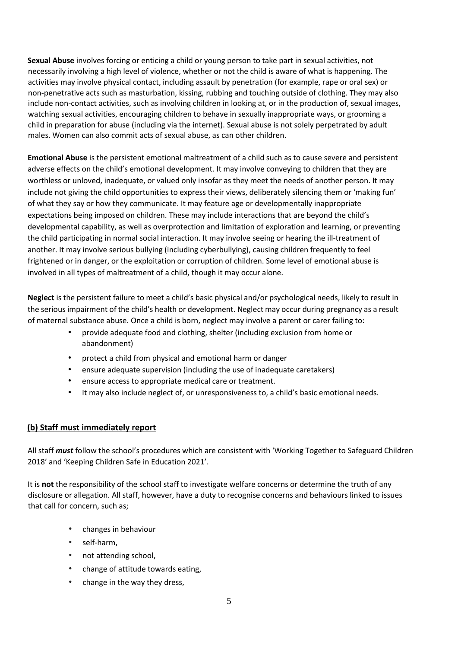**Sexual Abuse** involves forcing or enticing a child or young person to take part in sexual activities, not necessarily involving a high level of violence, whether or not the child is aware of what is happening. The activities may involve physical contact, including assault by penetration (for example, rape or oral sex) or non-penetrative acts such as masturbation, kissing, rubbing and touching outside of clothing. They may also include non-contact activities, such as involving children in looking at, or in the production of, sexual images, watching sexual activities, encouraging children to behave in sexually inappropriate ways, or grooming a child in preparation for abuse (including via the internet). Sexual abuse is not solely perpetrated by adult males. Women can also commit acts of sexual abuse, as can other children.

**Emotional Abuse** is the persistent emotional maltreatment of a child such as to cause severe and persistent adverse effects on the child's emotional development. It may involve conveying to children that they are worthless or unloved, inadequate, or valued only insofar as they meet the needs of another person. It may include not giving the child opportunities to express their views, deliberately silencing them or 'making fun' of what they say or how they communicate. It may feature age or developmentally inappropriate expectations being imposed on children. These may include interactions that are beyond the child's developmental capability, as well as overprotection and limitation of exploration and learning, or preventing the child participating in normal social interaction. It may involve seeing or hearing the ill-treatment of another. It may involve serious bullying (including cyberbullying), causing children frequently to feel frightened or in danger, or the exploitation or corruption of children. Some level of emotional abuse is involved in all types of maltreatment of a child, though it may occur alone.

**Neglect** is the persistent failure to meet a child's basic physical and/or psychological needs, likely to result in the serious impairment of the child's health or development. Neglect may occur during pregnancy as a result of maternal substance abuse. Once a child is born, neglect may involve a parent or carer failing to:

- provide adequate food and clothing, shelter (including exclusion from home or abandonment)
- protect a child from physical and emotional harm or danger
- ensure adequate supervision (including the use of inadequate caretakers)
- ensure access to appropriate medical care or treatment.
- It may also include neglect of, or unresponsiveness to, a child's basic emotional needs.

### **(b) Staff must immediately report**

All staff *must* follow the school's procedures which are consistent with 'Working Together to Safeguard Children 2018' and 'Keeping Children Safe in Education 2021'.

It is **not** the responsibility of the school staff to investigate welfare concerns or determine the truth of any disclosure or allegation. All staff, however, have a duty to recognise concerns and behaviours linked to issues that call for concern, such as;

- changes in behaviour
- self-harm,
- not attending school,
- change of attitude towards eating,
- change in the way they dress,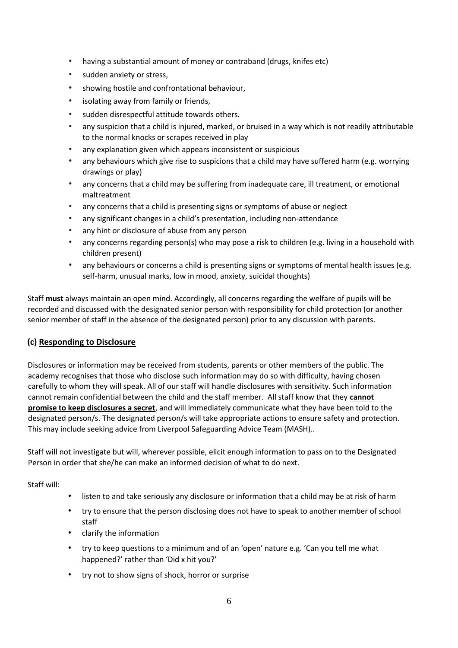- having a substantial amount of money or contraband (drugs, knifes etc)
- sudden anxiety or stress,
- showing hostile and confrontational behaviour,
- isolating away from family or friends,
- sudden disrespectful attitude towards others.
- any suspicion that a child is injured, marked, or bruised in a way which is not readily attributable to the normal knocks or scrapes received in play
- any explanation given which appears inconsistent or suspicious
- any behaviours which give rise to suspicions that a child may have suffered harm (e.g. worrying drawings or play)
- any concerns that a child may be suffering from inadequate care, ill treatment, or emotional maltreatment
- any concerns that a child is presenting signs or symptoms of abuse or neglect
- any significant changes in a child's presentation, including non-attendance
- any hint or disclosure of abuse from any person
- any concerns regarding person(s) who may pose a risk to children (e.g. living in a household with children present)
- any behaviours or concerns a child is presenting signs or symptoms of mental health issues (e.g. self-harm, unusual marks, low in mood, anxiety, suicidal thoughts)

Staff **must** always maintain an open mind. Accordingly, all concerns regarding the welfare of pupils will be recorded and discussed with the designated senior person with responsibility for child protection (or another senior member of staff in the absence of the designated person) prior to any discussion with parents.

## **(c) Responding to Disclosure**

Disclosures or information may be received from students, parents or other members of the public. The academy recognises that those who disclose such information may do so with difficulty, having chosen carefully to whom they will speak. All of our staff will handle disclosures with sensitivity. Such information cannot remain confidential between the child and the staff member. All staff know that they **cannot promise to keep disclosures a secret**, and will immediately communicate what they have been told to the designated person/s. The designated person/s will take appropriate actions to ensure safety and protection. This may include seeking advice from Liverpool Safeguarding Advice Team (MASH)..

Staff will not investigate but will, wherever possible, elicit enough information to pass on to the Designated Person in order that she/he can make an informed decision of what to do next.

Staff will:

- listen to and take seriously any disclosure or information that a child may be at risk of harm
- try to ensure that the person disclosing does not have to speak to another member of school staff
- clarify the information
- try to keep questions to a minimum and of an 'open' nature e.g. 'Can you tell me what happened?' rather than 'Did x hit you?'
- try not to show signs of shock, horror or surprise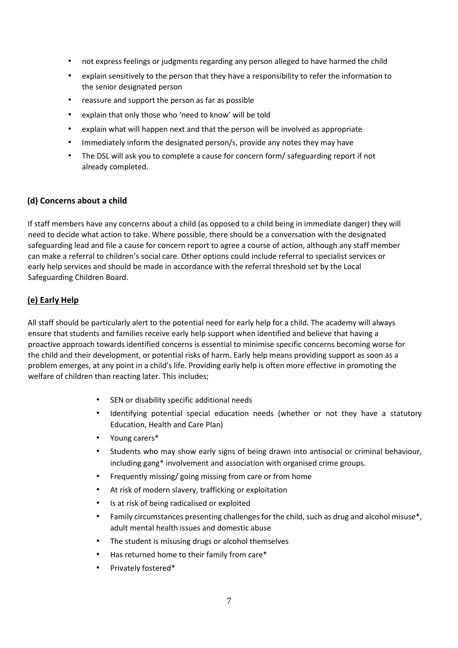- not express feelings or judgments regarding any person alleged to have harmed the child
- explain sensitively to the person that they have a responsibility to refer the information to the senior designated person
- reassure and support the person as far as possible
- explain that only those who 'need to know' will be told
- explain what will happen next and that the person will be involved as appropriate
- Immediately inform the designated person/s, provide any notes they may have
- The DSL will ask you to complete a cause for concern form/ safeguarding report if not already completed.

#### **(d) Concerns about a child**

If staff members have any concerns about a child (as opposed to a child being in immediate danger) they will need to decide what action to take. Where possible, there should be a conversation with the designated safeguarding lead and file a cause for concern report to agree a course of action, although any staff member can make a referral to children's social care. Other options could include referral to specialist services or early help services and should be made in accordance with the referral threshold set by the Local Safeguarding Children Board.

### **(e) Early Help**

All staff should be particularly alert to the potential need for early help for a child. The academy will always ensure that students and families receive early help support when identified and believe that having a proactive approach towards identified concerns is essential to minimise specific concerns becoming worse for the child and their development, or potential risks of harm. Early help means providing support as soon as a problem emerges, at any point in a child's life. Providing early help is often more effective in promoting the welfare of children than reacting later. This includes;

- SEN or disability specific additional needs
- Identifying potential special education needs (whether or not they have a statutory Education, Health and Care Plan)
- Young carers\*
- Students who may show early signs of being drawn into antisocial or criminal behaviour, including gang\* involvement and association with organised crime groups.
- Frequently missing/ going missing from care or from home
- At risk of modern slavery, trafficking or exploitation
- Is at risk of being radicalised or exploited
- Family circumstances presenting challenges for the child, such as drug and alcohol misuse\*, adult mental health issues and domestic abuse
- The student is misusing drugs or alcohol themselves
- Has returned home to their family from care\*
- Privately fostered\*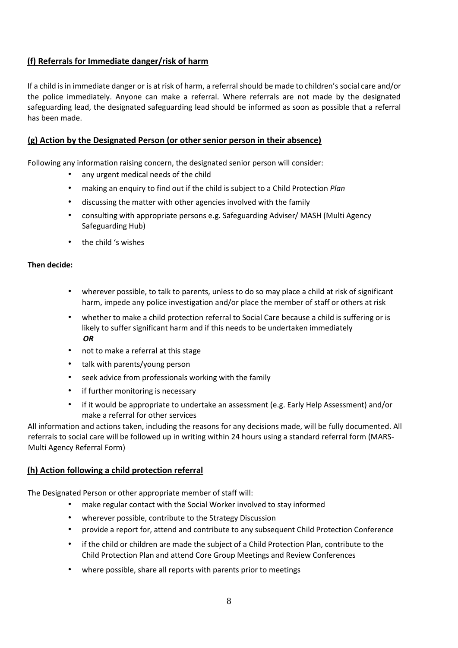## **(f) Referrals for Immediate danger/risk of harm**

If a child is in immediate danger or is at risk of harm, a referral should be made to children's social care and/or the police immediately. Anyone can make a referral. Where referrals are not made by the designated safeguarding lead, the designated safeguarding lead should be informed as soon as possible that a referral has been made.

## **(g) Action by the Designated Person (or other senior person in their absence)**

Following any information raising concern, the designated senior person will consider:

- any urgent medical needs of the child
- making an enquiry to find out if the child is subject to a Child Protection *Plan*
- discussing the matter with other agencies involved with the family
- consulting with appropriate persons e.g. Safeguarding Adviser/ MASH (Multi Agency Safeguarding Hub)
- the child 's wishes

### **Then decide:**

- wherever possible, to talk to parents, unless to do so may place a child at risk of significant harm, impede any police investigation and/or place the member of staff or others at risk
- whether to make a child protection referral to Social Care because a child is suffering or is likely to suffer significant harm and if this needs to be undertaken immediately *OR*
- not to make a referral at this stage
- talk with parents/young person
- seek advice from professionals working with the family
- if further monitoring is necessary
- if it would be appropriate to undertake an assessment (e.g. Early Help Assessment) and/or make a referral for other services

All information and actions taken, including the reasons for any decisions made, will be fully documented. All referrals to social care will be followed up in writing within 24 hours using a standard referral form (MARS-Multi Agency Referral Form)

## **(h) Action following a child protection referral**

The Designated Person or other appropriate member of staff will:

- make regular contact with the Social Worker involved to stay informed
- wherever possible, contribute to the Strategy Discussion
- provide a report for, attend and contribute to any subsequent Child Protection Conference
- if the child or children are made the subject of a Child Protection Plan, contribute to the Child Protection Plan and attend Core Group Meetings and Review Conferences
- where possible, share all reports with parents prior to meetings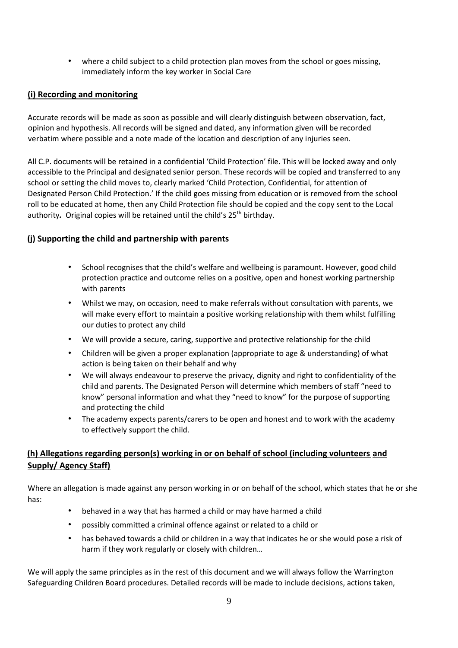• where a child subject to a child protection plan moves from the school or goes missing, immediately inform the key worker in Social Care

## **(i) Recording and monitoring**

Accurate records will be made as soon as possible and will clearly distinguish between observation, fact, opinion and hypothesis. All records will be signed and dated, any information given will be recorded verbatim where possible and a note made of the location and description of any injuries seen.

All C.P. documents will be retained in a confidential 'Child Protection' file. This will be locked away and only accessible to the Principal and designated senior person. These records will be copied and transferred to any school or setting the child moves to, clearly marked 'Child Protection, Confidential, for attention of Designated Person Child Protection.' If the child goes missing from education or is removed from the school roll to be educated at home, then any Child Protection file should be copied and the copy sent to the Local authority. Original copies will be retained until the child's 25<sup>th</sup> birthday.

## <span id="page-8-0"></span>**(j) Supporting the child and partnership with parents**

- School recognises that the child's welfare and wellbeing is paramount. However, good child protection practice and outcome relies on a positive, open and honest working partnership with parents
- Whilst we may, on occasion, need to make referrals without consultation with parents, we will make every effort to maintain a positive working relationship with them whilst fulfilling our duties to protect any child
- We will provide a secure, caring, supportive and protective relationship for the child
- Children will be given a proper explanation (appropriate to age & understanding) of what action is being taken on their behalf and why
- We will always endeavour to preserve the privacy, dignity and right to confidentiality of the child and parents. The Designated Person will determine which members of staff "need to know" personal information and what they "need to know" for the purpose of supporting and protecting the child
- The academy expects parents/carers to be open and honest and to work with the academy to effectively support the child.

## **(h) Allegations regarding person(s) working in or on behalf of school (including volunteers and Supply/ Agency Staff)**

Where an allegation is made against any person working in or on behalf of the school, which states that he or she has:

- behaved in a way that has harmed a child or may have harmed a child
- possibly committed a criminal offence against or related to a child or
- has behaved towards a child or children in a way that indicates he or she would pose a risk of harm if they work regularly or closely with children…

We will apply the same principles as in the rest of this document and we will always follow the Warrington Safeguarding Children Board procedures. Detailed records will be made to include decisions, actions taken,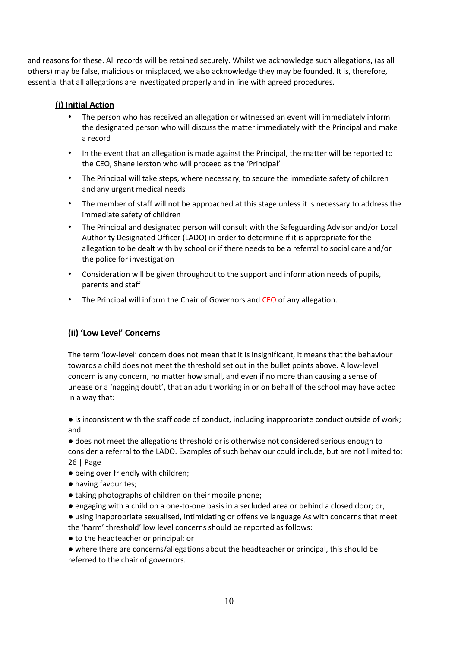and reasons for these. All records will be retained securely. Whilst we acknowledge such allegations, (as all others) may be false, malicious or misplaced, we also acknowledge they may be founded. It is, therefore, essential that all allegations are investigated properly and in line with agreed procedures.

## **(i) Initial Action**

- The person who has received an allegation or witnessed an event will immediately inform the designated person who will discuss the matter immediately with the Principal and make a record
- In the event that an allegation is made against the Principal, the matter will be reported to the CEO, Shane Ierston who will proceed as the 'Principal'
- The Principal will take steps, where necessary, to secure the immediate safety of children and any urgent medical needs
- The member of staff will not be approached at this stage unless it is necessary to address the immediate safety of children
- The Principal and designated person will consult with the Safeguarding Advisor and/or Local Authority Designated Officer (LADO) in order to determine if it is appropriate for the allegation to be dealt with by school or if there needs to be a referral to social care and/or the police for investigation
- Consideration will be given throughout to the support and information needs of pupils, parents and staff
- The Principal will inform the Chair of Governors and CEO of any allegation.

## **(ii) 'Low Level' Concerns**

The term 'low-level' concern does not mean that it is insignificant, it means that the behaviour towards a child does not meet the threshold set out in the bullet points above. A low-level concern is any concern, no matter how small, and even if no more than causing a sense of unease or a 'nagging doubt', that an adult working in or on behalf of the school may have acted in a way that:

● is inconsistent with the staff code of conduct, including inappropriate conduct outside of work; and

● does not meet the allegations threshold or is otherwise not considered serious enough to consider a referral to the LADO. Examples of such behaviour could include, but are not limited to: 26 | Page

- being over friendly with children;
- having favourites;
- taking photographs of children on their mobile phone;
- engaging with a child on a one-to-one basis in a secluded area or behind a closed door; or,
- using inappropriate sexualised, intimidating or offensive language As with concerns that meet the 'harm' threshold' low level concerns should be reported as follows:
- to the headteacher or principal; or
- where there are concerns/allegations about the headteacher or principal, this should be referred to the chair of governors.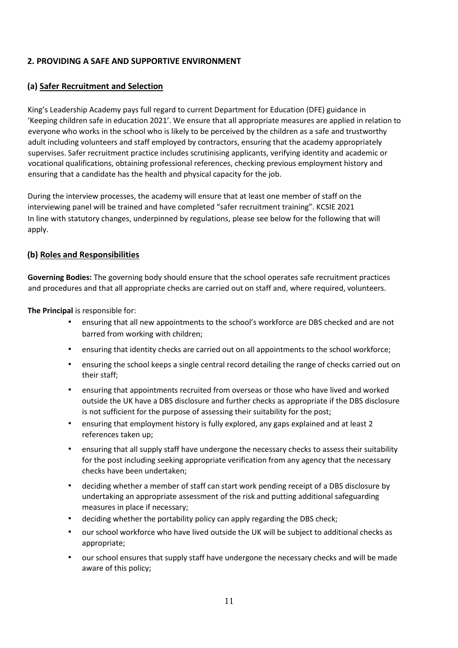## <span id="page-10-0"></span>**2. PROVIDING A SAFE AND SUPPORTIVE ENVIRONMENT**

## **(a) Safer Recruitment and Selection**

King's Leadership Academy pays full regard to current Department for Education (DFE) guidance in 'Keeping children safe in education 2021'. We ensure that all appropriate measures are applied in relation to everyone who works in the school who is likely to be perceived by the children as a safe and trustworthy adult including volunteers and staff employed by contractors, ensuring that the academy appropriately supervises. Safer recruitment practice includes scrutinising applicants, verifying identity and academic or vocational qualifications, obtaining professional references, checking previous employment history and ensuring that a candidate has the health and physical capacity for the job.

During the interview processes, the academy will ensure that at least one member of staff on the interviewing panel will be trained and have completed "safer recruitment training". KCSIE 2021 In line with statutory changes, underpinned by regulations, please see below for the following that will apply.

### **(b) Roles and Responsibilities**

**Governing Bodies:** The governing body should ensure that the school operates safe recruitment practices and procedures and that all appropriate checks are carried out on staff and, where required, volunteers.

**The Principal** is responsible for:

- ensuring that all new appointments to the school's workforce are DBS checked and are not barred from working with children;
- ensuring that identity checks are carried out on all appointments to the school workforce;
- ensuring the school keeps a single central record detailing the range of checks carried out on their staff;
- ensuring that appointments recruited from overseas or those who have lived and worked outside the UK have a DBS disclosure and further checks as appropriate if the DBS disclosure is not sufficient for the purpose of assessing their suitability for the post;
- ensuring that employment history is fully explored, any gaps explained and at least 2 references taken up;
- ensuring that all supply staff have undergone the necessary checks to assess their suitability for the post including seeking appropriate verification from any agency that the necessary checks have been undertaken;
- deciding whether a member of staff can start work pending receipt of a DBS disclosure by undertaking an appropriate assessment of the risk and putting additional safeguarding measures in place if necessary;
- deciding whether the portability policy can apply regarding the DBS check;
- our school workforce who have lived outside the UK will be subject to additional checks as appropriate;
- our school ensures that supply staff have undergone the necessary checks and will be made aware of this policy;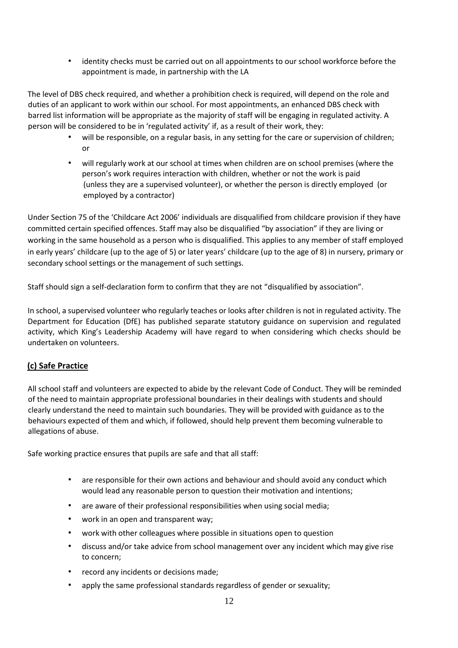• identity checks must be carried out on all appointments to our school workforce before the appointment is made, in partnership with the LA

The level of DBS check required, and whether a prohibition check is required, will depend on the role and duties of an applicant to work within our school. For most appointments, an enhanced DBS check with barred list information will be appropriate as the majority of staff will be engaging in regulated activity. A person will be considered to be in 'regulated activity' if, as a result of their work, they:

- will be responsible, on a regular basis, in any setting for the care or supervision of children; or
- will regularly work at our school at times when children are on school premises (where the person's work requires interaction with children, whether or not the work is paid (unless they are a supervised volunteer), or whether the person is directly employed (or employed by a contractor)

Under Section 75 of the 'Childcare Act 2006' individuals are disqualified from childcare provision if they have committed certain specified offences. Staff may also be disqualified "by association" if they are living or working in the same household as a person who is disqualified. This applies to any member of staff employed in early years' childcare (up to the age of 5) or later years' childcare (up to the age of 8) in nursery, primary or secondary school settings or the management of such settings.

Staff should sign a self-declaration form to confirm that they are not "disqualified by association".

In school, a supervised volunteer who regularly teaches or looks after children is not in regulated activity. The Department for Education (DfE) has published separate statutory guidance on supervision and regulated activity, which King's Leadership Academy will have regard to when considering which checks should be undertaken on volunteers.

## **(c) Safe Practice**

All school staff and volunteers are expected to abide by the relevant Code of Conduct. They will be reminded of the need to maintain appropriate professional boundaries in their dealings with students and should clearly understand the need to maintain such boundaries. They will be provided with guidance as to the behaviours expected of them and which, if followed, should help prevent them becoming vulnerable to allegations of abuse.

Safe working practice ensures that pupils are safe and that all staff:

- are responsible for their own actions and behaviour and should avoid any conduct which would lead any reasonable person to question their motivation and intentions;
- are aware of their professional responsibilities when using social media;
- work in an open and transparent way;
- work with other colleagues where possible in situations open to question
- discuss and/or take advice from school management over any incident which may give rise to concern;
- record any incidents or decisions made;
- apply the same professional standards regardless of gender or sexuality;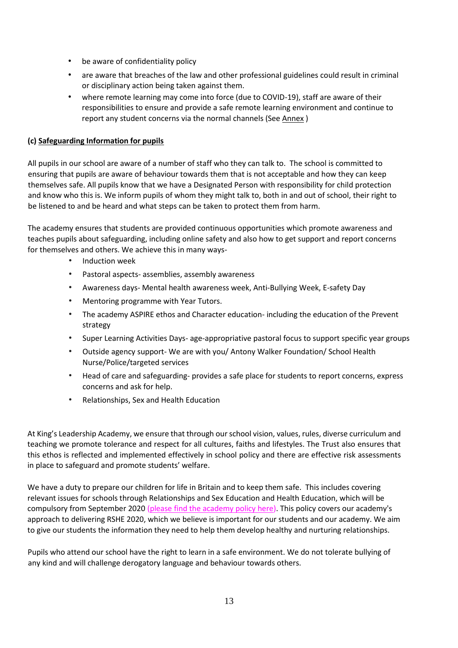- be aware of confidentiality policy
- are aware that breaches of the law and other professional guidelines could result in criminal or disciplinary action being taken against them.
- where remote learning may come into force (due to COVID-19), staff are aware of their responsibilities to ensure and provide a safe remote learning environment and continue to report any student concerns via the normal channels (Se[e Annex](https://www.kingswarrington.com/wp-content/uploads/2020/04/COVID-19-Safeguarding-ANNEX.pdf) [\)](https://www.kingswarrington.com/wp-content/uploads/2020/04/COVID-19-Safeguarding-ANNEX.pdf)

### **(c) Safeguarding Information for pupils**

All pupils in our school are aware of a number of staff who they can talk to. The school is committed to ensuring that pupils are aware of behaviour towards them that is not acceptable and how they can keep themselves safe. All pupils know that we have a Designated Person with responsibility for child protection and know who this is. We inform pupils of whom they might talk to, both in and out of school, their right to be listened to and be heard and what steps can be taken to protect them from harm.

The academy ensures that students are provided continuous opportunities which promote awareness and teaches pupils about safeguarding, including online safety and also how to get support and report concerns for themselves and others. We achieve this in many ways-

- Induction week
- Pastoral aspects- assemblies, assembly awareness
- Awareness days- Mental health awareness week, Anti-Bullying Week, E-safety Day
- Mentoring programme with Year Tutors.
- The academy ASPIRE ethos and Character education- including the education of the Prevent strategy
- Super Learning Activities Days- age-appropriative pastoral focus to support specific year groups
- Outside agency support- We are with you/ Antony Walker Foundation/ School Health Nurse/Police/targeted services
- Head of care and safeguarding- provides a safe place for students to report concerns, express concerns and ask for help.
- Relationships, Sex and Health Education

At King's Leadership Academy, we ensure that through our school vision, values, rules, diverse curriculum and teaching we promote tolerance and respect for all cultures, faiths and lifestyles. The Trust also ensures that this ethos is reflected and implemented effectively in school policy and there are effective risk assessments in place to safeguard and promote students' welfare.

We have a duty to prepare our children for life in Britain and to keep them safe. This includes covering relevant issues for schools through Relationships and Sex Education and Health Education, which will be compulsory from September 2020 [\(please find the academy policy here\).](https://www.kingswarrington.com/wp-content/uploads/2020/07/RSHE-Policy-2020-1.pdf) This policy covers our academy's approach to delivering RSHE 2020, which we believe is important for our students and our academy. We aim to give our students the information they need to help them develop healthy and nurturing relationships.

Pupils who attend our school have the right to learn in a safe environment. We do not tolerate bullying of any kind and will challenge derogatory language and behaviour towards others.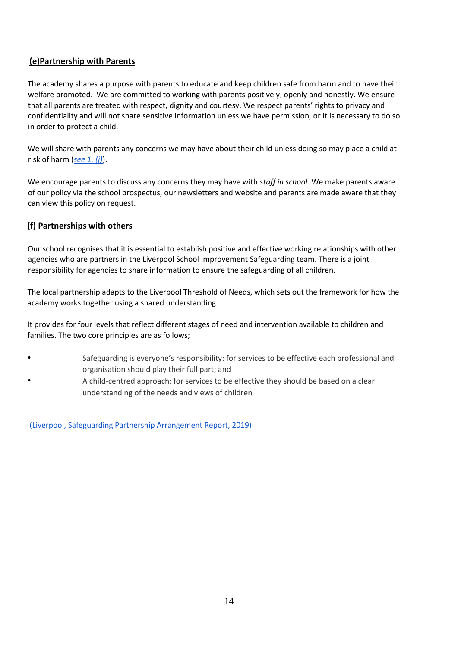## **(e)Partnership with Parents**

The academy shares a purpose with parents to educate and keep children safe from harm and to have their welfare promoted. We are committed to working with parents positively, openly and honestly. We ensure that all parents are treated with respect, dignity and courtesy. We respect parents' rights to privacy and confidentiality and will not share sensitive information unless we have permission, or it is necessary to do so in order to protect a child.

We will share with parents any concerns we may have about their child unless doing so may place a child at risk of harm (*[see 1. \(j\)](#page-8-0)*).

We encourage parents to discuss any concerns they may have with *staff in school.* We make parents aware of our policy via the school prospectus, our newsletters and website and parents are made aware that they can view this policy on request.

## **(f) Partnerships with others**

Our school recognises that it is essential to establish positive and effective working relationships with other agencies who are partners in the Liverpool School Improvement Safeguarding team. There is a joint responsibility for agencies to share information to ensure the safeguarding of all children.

The local partnership adapts to the Liverpool Threshold of Needs, which sets out the framework for how the academy works together using a shared understanding.

It provides for four levels that reflect different stages of need and intervention available to children and families. The two core principles are as follows;

- Safeguarding is everyone's responsibility: for services to be effective each professional and organisation should play their full part; and
- A child-centred approach: for services to be effective they should be based on a clear understanding of the needs and views of children

(Liverpool, [Safeguarding Partnership Arrangement Report, 2019\)](https://www.warrington.gov.uk/sites/default/files/2019-12/multiagency_safeguarding_arrangements_-_wsp_december_2019.pdf))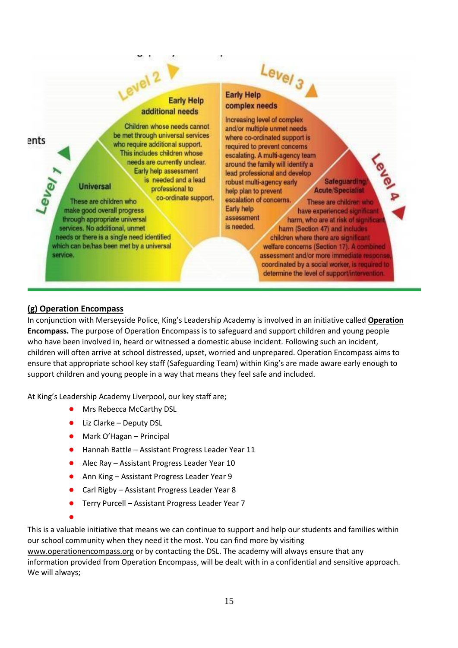## evel 2 **Early Help** additional needs

ents

#### Children whose needs cannot be met through universal services who require additional support. This includes children whose needs are currently unclear. Early help assessment is needed and a lead **Universal** professional to co-ordinate support.

These are children who make good overall progress through appropriate universal services. No additional, unmet needs or there is a single need identified which can be/has been met by a universal service.

## Level<sub>3</sub> **Early Help** complex needs

assessment

is needed.

Increasing level of complex and/or multiple unmet needs where co-ordinated support is required to prevent concerns escalating. A multi-agency team around the family will identify a lead professional and develop robust multi-agency early help plan to prevent escalation of concerns. Early help

**Safeguarding Acute/Specialist** 

These are children who have experienced significant harm, who are at risk of significant harm (Section 47) and includes children where there are significant welfare concerns (Section 17). A combined assessment and/or more immediate response

coordinated by a social worker, is required to determine the level of support/intervention.

## **(g) Operation Encompass**

In conjunction with Merseyside Police, King's Leadership Academy is involved in an initiative called **Operation Encompass.** The purpose of Operation Encompass is to safeguard and support children and young people who have been involved in, heard or witnessed a domestic abuse incident. Following such an incident, children will often arrive at school distressed, upset, worried and unprepared. Operation Encompass aims to ensure that appropriate school key staff (Safeguarding Team) within King's are made aware early enough to support children and young people in a way that means they feel safe and included.

At King's Leadership Academy Liverpool, our key staff are;

- Mrs Rebecca McCarthy DSL
- Liz Clarke Deputy DSL
- Mark O'Hagan Principal
- Hannah Battle Assistant Progress Leader Year 11
- Alec Ray Assistant Progress Leader Year 10
- Ann King Assistant Progress Leader Year 9
- Carl Rigby Assistant Progress Leader Year 8
- Terry Purcell Assistant Progress Leader Year 7

●

This is a valuable initiative that means we can continue to support and help our students and families within our school community when they need it the most. You can find more by visiting

[www.operationencompass.org](http://www.operationencompass.org/) [o](http://www.operationencompass.org/)r by contacting the DSL. The academy will always ensure that any information provided from Operation Encompass, will be dealt with in a confidential and sensitive approach. We will always;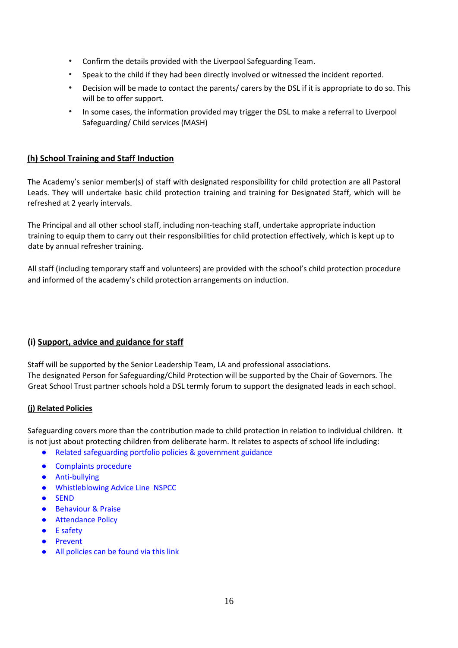- Confirm the details provided with the Liverpool Safeguarding Team.
- Speak to the child if they had been directly involved or witnessed the incident reported.
- Decision will be made to contact the parents/ carers by the DSL if it is appropriate to do so. This will be to offer support.
- In some cases, the information provided may trigger the DSL to make a referral to Liverpool Safeguarding/ Child services (MASH)

## **(h) School Training and Staff Induction**

The Academy's senior member(s) of staff with designated responsibility for child protection are all Pastoral Leads. They will undertake basic child protection training and training for Designated Staff, which will be refreshed at 2 yearly intervals.

The Principal and all other school staff, including non-teaching staff, undertake appropriate induction training to equip them to carry out their responsibilities for child protection effectively, which is kept up to date by annual refresher training.

All staff (including temporary staff and volunteers) are provided with the school's child protection procedure and informed of the academy's child protection arrangements on induction.

## **(i) Support, advice and guidance for staff**

Staff will be supported by the Senior Leadership Team, LA and professional associations. The designated Person for Safeguarding/Child Protection will be supported by the Chair of Governors. The Great School Trust partner schools hold a DSL termly forum to support the designated leads in each school.

### **(j) Related Policies**

Safeguarding covers more than the contribution made to child protection in relation to individual children. It is not just about protecting children from deliberate harm. It relates to aspects of school life including:

- Related safeguarding portfolio policies & government guidance
- [Complaints procedure](https://www.kingswarrington.com/policies/complaints-policies/)
- Anti-bullying
- [Whistleblowing Advice Line NSPCC](https://www.nspcc.org.uk/keeping-children-safe/reporting-abuse/dedicated-helplines/whistleblowing-advice-line/)
- [SEND](https://www.kingswarrington.com/wp-content/uploads/2018/10/Special-Educational-Needs-Policy-Update.pdf)
- Behaviour & Praise
- Attendance Policy
- [E safety](https://www.kingswarrington.com/wp-content/uploads/2017/02/Responsible-use-of-the-Internet-E-Safety-Policy-1.pdf)
- [Prevent](https://www.kingswarrington.com/prevent-policy-oct18-1/)
- [All policies can be found via this link](https://www.kingswarrington.com/policies/)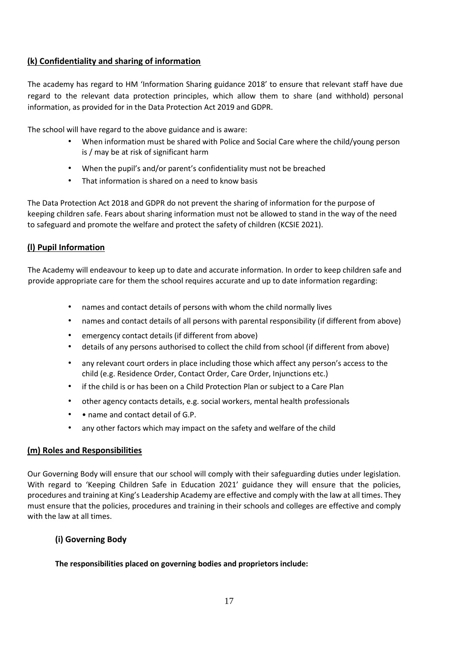## **(k) Confidentiality and sharing of information**

The academy has regard to HM 'Information Sharing guidance 2018' to ensure that relevant staff have due regard to the relevant data protection principles, which allow them to share (and withhold) personal information, as provided for in the Data Protection Act 2019 and GDPR.

The school will have regard to the above guidance and is aware:

- When information must be shared with Police and Social Care where the child/young person is / may be at risk of significant harm
- When the pupil's and/or parent's confidentiality must not be breached
- That information is shared on a need to know basis

The Data Protection Act 2018 and GDPR do not prevent the sharing of information for the purpose of keeping children safe. Fears about sharing information must not be allowed to stand in the way of the need to safeguard and promote the welfare and protect the safety of children (KCSIE 2021).

## **(l) Pupil Information**

The Academy will endeavour to keep up to date and accurate information. In order to keep children safe and provide appropriate care for them the school requires accurate and up to date information regarding:

- names and contact details of persons with whom the child normally lives
- names and contact details of all persons with parental responsibility (if different from above)
- emergency contact details (if different from above)
- details of any persons authorised to collect the child from school (if different from above)
- any relevant court orders in place including those which affect any person's access to the child (e.g. Residence Order, Contact Order, Care Order, Injunctions etc.)
- if the child is or has been on a Child Protection Plan or subject to a Care Plan
- other agency contacts details, e.g. social workers, mental health professionals
- • name and contact detail of G.P.
- any other factors which may impact on the safety and welfare of the child

#### **(m) Roles and Responsibilities**

Our Governing Body will ensure that our school will comply with their safeguarding duties under legislation. With regard to 'Keeping Children Safe in Education 2021' guidance they will ensure that the policies, procedures and training at King's Leadership Academy are effective and comply with the law at all times. They must ensure that the policies, procedures and training in their schools and colleges are effective and comply with the law at all times.

### **(i) Governing Body**

#### **The responsibilities placed on governing bodies and proprietors include:**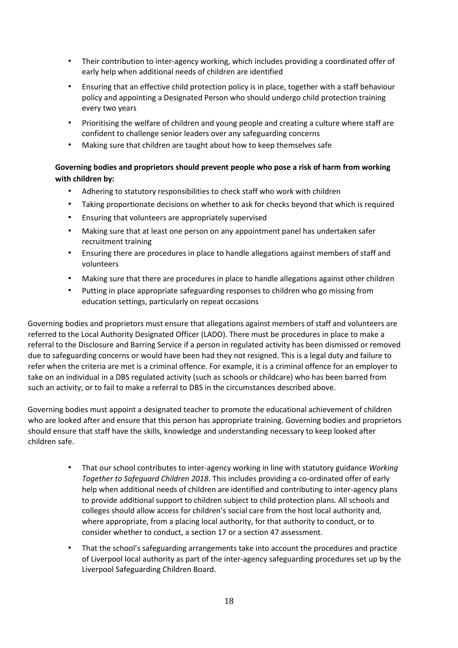- Their contribution to inter-agency working, which includes providing a coordinated offer of early help when additional needs of children are identified
- Ensuring that an effective child protection policy is in place, together with a staff behaviour policy and appointing a Designated Person who should undergo child protection training every two years
- Prioritising the welfare of children and young people and creating a culture where staff are confident to challenge senior leaders over any safeguarding concerns
- Making sure that children are taught about how to keep themselves safe

## **Governing bodies and proprietors should prevent people who pose a risk of harm from working with children by:**

- Adhering to statutory responsibilities to check staff who work with children
- Taking proportionate decisions on whether to ask for checks beyond that which is required
- Ensuring that volunteers are appropriately supervised
- Making sure that at least one person on any appointment panel has undertaken safer recruitment training
- Ensuring there are procedures in place to handle allegations against members of staff and volunteers
- Making sure that there are procedures in place to handle allegations against other children
- Putting in place appropriate safeguarding responses to children who go missing from education settings, particularly on repeat occasions

Governing bodies and proprietors must ensure that allegations against members of staff and volunteers are referred to the Local Authority Designated Officer (LADO). There must be procedures in place to make a referral to the Disclosure and Barring Service if a person in regulated activity has been dismissed or removed due to safeguarding concerns or would have been had they not resigned. This is a legal duty and failure to refer when the criteria are met is a criminal offence. For example, it is a criminal offence for an employer to take on an individual in a DBS regulated activity (such as schools or childcare) who has been barred from such an activity; or to fail to make a referral to DBS in the circumstances described above.

Governing bodies must appoint a designated teacher to promote the educational achievement of children who are looked after and ensure that this person has appropriate training. Governing bodies and proprietors should ensure that staff have the skills, knowledge and understanding necessary to keep looked after children safe.

- That our school contributes to inter-agency working in line with statutory guidance *Working Together to Safeguard Children 2018*. This includes providing a co-ordinated offer of early help when additional needs of children are identified and contributing to inter-agency plans to provide additional support to children subject to child protection plans. All schools and colleges should allow access for children's social care from the host local authority and, where appropriate, from a placing local authority, for that authority to conduct, or to consider whether to conduct, a section 17 or a section 47 assessment.
- That the school's safeguarding arrangements take into account the procedures and practice of Liverpool local authority as part of the inter-agency safeguarding procedures set up by the Liverpool Safeguarding Children Board.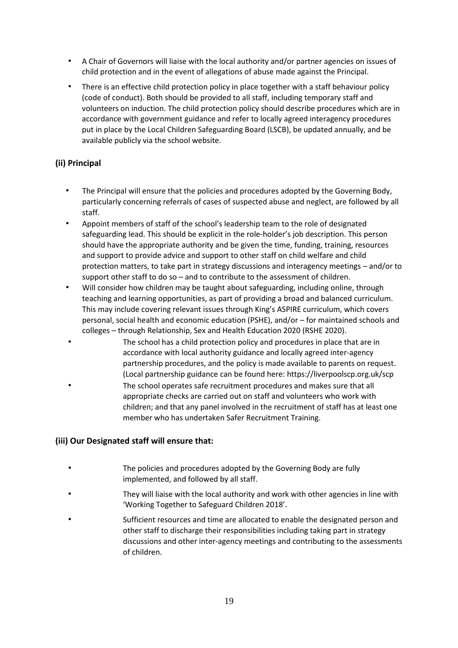- A Chair of Governors will liaise with the local authority and/or partner agencies on issues of child protection and in the event of allegations of abuse made against the Principal.
- There is an effective child protection policy in place together with a staff behaviour policy (code of conduct). Both should be provided to all staff, including temporary staff and volunteers on induction. The child protection policy should describe procedures which are in accordance with government guidance and refer to locally agreed interagency procedures put in place by the Local Children Safeguarding Board (LSCB), be updated annually, and be available publicly via the school website.

## **(ii) Principal**

- The Principal will ensure that the policies and procedures adopted by the Governing Body, particularly concerning referrals of cases of suspected abuse and neglect, are followed by all staff.
- Appoint members of staff of the school's leadership team to the role of designated safeguarding lead. This should be explicit in the role-holder's job description. This person should have the appropriate authority and be given the time, funding, training, resources and support to provide advice and support to other staff on child welfare and child protection matters, to take part in strategy discussions and interagency meetings – and/or to support other staff to do so – and to contribute to the assessment of children.
- Will consider how children may be taught about safeguarding, including online, through teaching and learning opportunities, as part of providing a broad and balanced curriculum. This may include covering relevant issues through King's ASPIRE curriculum, which covers personal, social health and economic education (PSHE), and/or – for maintained schools and colleges – through Relationship, Sex and Health Education 2020 (RSHE 2020).
- The school has a child protection policy and procedures in place that are in accordance with local authority guidance and locally agreed inter-agency partnership procedures, and the policy is made available to parents on request. (Local partnership guidance can be found here: https://liverpoolscp.org.uk/scp The school operates safe recruitment procedures and makes sure that all appropriate checks are carried out on staff and volunteers who work with children; and that any panel involved in the recruitment of staff has at least one member who has undertaken Safer Recruitment Training.

### **(iii) Our Designated staff will ensure that:**

- The policies and procedures adopted by the Governing Body are fully implemented, and followed by all staff.
- They will liaise with the local authority and work with other agencies in line with 'Working Together to Safeguard Children 2018'.
- Sufficient resources and time are allocated to enable the designated person and other staff to discharge their responsibilities including taking part in strategy discussions and other inter-agency meetings and contributing to the assessments of children.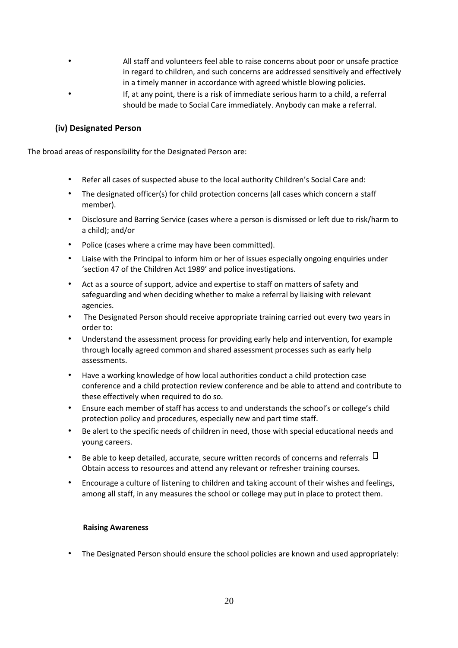• All staff and volunteers feel able to raise concerns about poor or unsafe practice in regard to children, and such concerns are addressed sensitively and effectively in a timely manner in accordance with agreed whistle blowing policies. • If, at any point, there is a risk of immediate serious harm to a child, a referral should be made to Social Care immediately. Anybody can make a referral.

### **(iv) Designated Person**

The broad areas of responsibility for the Designated Person are:

- Refer all cases of suspected abuse to the local authority Children's Social Care and:
- The designated officer(s) for child protection concerns (all cases which concern a staff member).
- Disclosure and Barring Service (cases where a person is dismissed or left due to risk/harm to a child); and/or
- Police (cases where a crime may have been committed).
- Liaise with the Principal to inform him or her of issues especially ongoing enquiries under 'section 47 of the Children Act 1989' and police investigations.
- Act as a source of support, advice and expertise to staff on matters of safety and safeguarding and when deciding whether to make a referral by liaising with relevant agencies.
- The Designated Person should receive appropriate training carried out every two years in order to:
- Understand the assessment process for providing early help and intervention, for example through locally agreed common and shared assessment processes such as early help assessments.
- Have a working knowledge of how local authorities conduct a child protection case conference and a child protection review conference and be able to attend and contribute to these effectively when required to do so.
- Ensure each member of staff has access to and understands the school's or college's child protection policy and procedures, especially new and part time staff.
- Be alert to the specific needs of children in need, those with special educational needs and young careers.
- Be able to keep detailed, accurate, secure written records of concerns and referrals  $\Box$ Obtain access to resources and attend any relevant or refresher training courses.
- Encourage a culture of listening to children and taking account of their wishes and feelings, among all staff, in any measures the school or college may put in place to protect them.

#### **Raising Awareness**

• The Designated Person should ensure the school policies are known and used appropriately: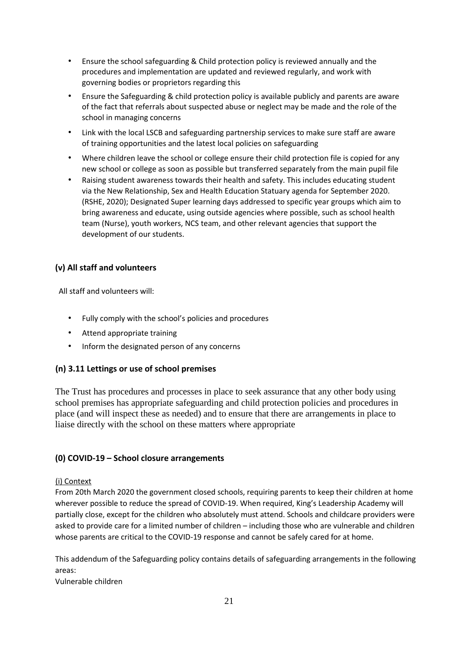- Ensure the school safeguarding & Child protection policy is reviewed annually and the procedures and implementation are updated and reviewed regularly, and work with governing bodies or proprietors regarding this
- Ensure the Safeguarding & child protection policy is available publicly and parents are aware of the fact that referrals about suspected abuse or neglect may be made and the role of the school in managing concerns
- Link with the local LSCB and safeguarding partnership services to make sure staff are aware of training opportunities and the latest local policies on safeguarding
- Where children leave the school or college ensure their child protection file is copied for any new school or college as soon as possible but transferred separately from the main pupil file
- Raising student awareness towards their health and safety. This includes educating student via the New Relationship, Sex and Health Education Statuary agenda for September 2020. (RSHE, 2020); Designated Super learning days addressed to specific year groups which aim to bring awareness and educate, using outside agencies where possible, such as school health team (Nurse), youth workers, NCS team, and other relevant agencies that support the development of our students.

## **(v) All staff and volunteers**

All staff and volunteers will:

- Fully comply with the school's policies and procedures
- Attend appropriate training
- Inform the designated person of any concerns

## **(n) 3.11 Lettings or use of school premises**

The Trust has procedures and processes in place to seek assurance that any other body using school premises has appropriate safeguarding and child protection policies and procedures in place (and will inspect these as needed) and to ensure that there are arrangements in place to liaise directly with the school on these matters where appropriate

## **(0) COVID-19 – School closure arrangements**

### (i) Context

From 20th March 2020 the government closed schools, requiring parents to keep their children at home wherever possible to reduce the spread of COVID-19. When required, King's Leadership Academy will partially close, except for the children who absolutely must attend. Schools and childcare providers were asked to provide care for a limited number of children – including those who are vulnerable and children whose parents are critical to the COVID-19 response and cannot be safely cared for at home.

This addendum of the Safeguarding policy contains details of safeguarding arrangements in the following areas:

Vulnerable children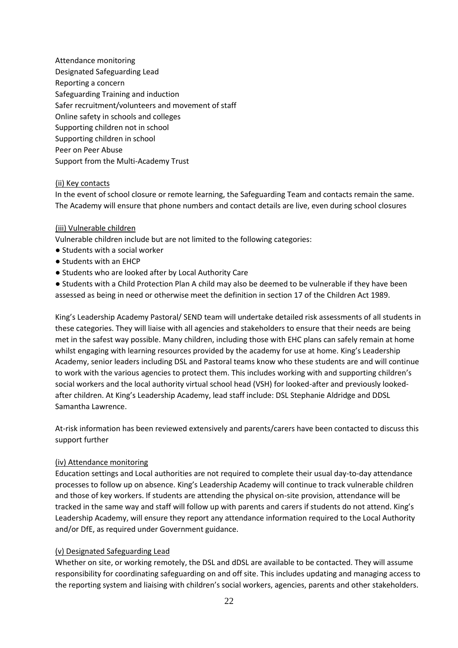Attendance monitoring Designated Safeguarding Lead Reporting a concern Safeguarding Training and induction Safer recruitment/volunteers and movement of staff Online safety in schools and colleges Supporting children not in school Supporting children in school Peer on Peer Abuse Support from the Multi-Academy Trust

#### (ii) Key contacts

In the event of school closure or remote learning, the Safeguarding Team and contacts remain the same. The Academy will ensure that phone numbers and contact details are live, even during school closures

#### (iii) Vulnerable children

Vulnerable children include but are not limited to the following categories:

- Students with a social worker
- Students with an EHCP
- Students who are looked after by Local Authority Care

● Students with a Child Protection Plan A child may also be deemed to be vulnerable if they have been assessed as being in need or otherwise meet the definition in section 17 of the Children Act 1989.

King's Leadership Academy Pastoral/ SEND team will undertake detailed risk assessments of all students in these categories. They will liaise with all agencies and stakeholders to ensure that their needs are being met in the safest way possible. Many children, including those with EHC plans can safely remain at home whilst engaging with learning resources provided by the academy for use at home. King's Leadership Academy, senior leaders including DSL and Pastoral teams know who these students are and will continue to work with the various agencies to protect them. This includes working with and supporting children's social workers and the local authority virtual school head (VSH) for looked-after and previously lookedafter children. At King's Leadership Academy, lead staff include: DSL Stephanie Aldridge and DDSL Samantha Lawrence.

At-risk information has been reviewed extensively and parents/carers have been contacted to discuss this support further

#### (iv) Attendance monitoring

Education settings and Local authorities are not required to complete their usual day-to-day attendance processes to follow up on absence. King's Leadership Academy will continue to track vulnerable children and those of key workers. If students are attending the physical on-site provision, attendance will be tracked in the same way and staff will follow up with parents and carers if students do not attend. King's Leadership Academy, will ensure they report any attendance information required to the Local Authority and/or DfE, as required under Government guidance.

#### (v) Designated Safeguarding Lead

Whether on site, or working remotely, the DSL and dDSL are available to be contacted. They will assume responsibility for coordinating safeguarding on and off site. This includes updating and managing access to the reporting system and liaising with children's social workers, agencies, parents and other stakeholders.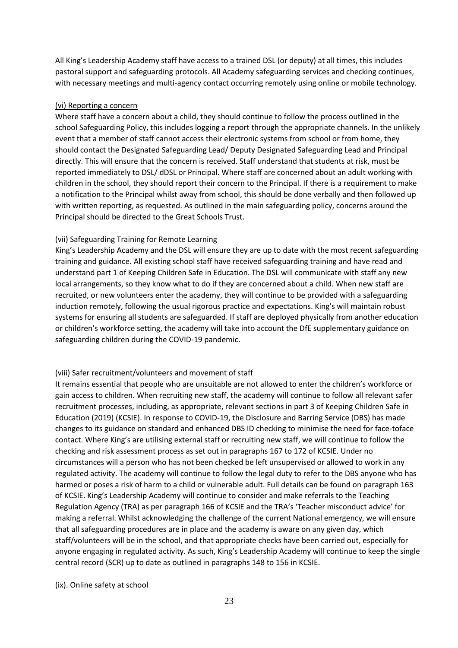All King's Leadership Academy staff have access to a trained DSL (or deputy) at all times, this includes pastoral support and safeguarding protocols. All Academy safeguarding services and checking continues, with necessary meetings and multi-agency contact occurring remotely using online or mobile technology.

#### (vi) Reporting a concern

Where staff have a concern about a child, they should continue to follow the process outlined in the school Safeguarding Policy, this includes logging a report through the appropriate channels. In the unlikely event that a member of staff cannot access their electronic systems from school or from home, they should contact the Designated Safeguarding Lead/ Deputy Designated Safeguarding Lead and Principal directly. This will ensure that the concern is received. Staff understand that students at risk, must be reported immediately to DSL/ dDSL or Principal. Where staff are concerned about an adult working with children in the school, they should report their concern to the Principal. If there is a requirement to make a notification to the Principal whilst away from school, this should be done verbally and then followed up with written reporting, as requested. As outlined in the main safeguarding policy, concerns around the Principal should be directed to the Great Schools Trust.

#### (vii) Safeguarding Training for Remote Learning

King's Leadership Academy and the DSL will ensure they are up to date with the most recent safeguarding training and guidance. All existing school staff have received safeguarding training and have read and understand part 1 of Keeping Children Safe in Education. The DSL will communicate with staff any new local arrangements, so they know what to do if they are concerned about a child. When new staff are recruited, or new volunteers enter the academy, they will continue to be provided with a safeguarding induction remotely, following the usual rigorous practice and expectations. King's will maintain robust systems for ensuring all students are safeguarded. If staff are deployed physically from another education or children's workforce setting, the academy will take into account the DfE supplementary guidance on safeguarding children during the COVID-19 pandemic.

### (viii) Safer recruitment/volunteers and movement of staff

It remains essential that people who are unsuitable are not allowed to enter the children's workforce or gain access to children. When recruiting new staff, the academy will continue to follow all relevant safer recruitment processes, including, as appropriate, relevant sections in part 3 of Keeping Children Safe in Education (2019) (KCSIE). In response to COVID-19, the Disclosure and Barring Service (DBS) has made changes to its guidance on standard and enhanced DBS ID checking to minimise the need for face-toface contact. Where King's are utilising external staff or recruiting new staff, we will continue to follow the checking and risk assessment process as set out in paragraphs 167 to 172 of KCSIE. Under no circumstances will a person who has not been checked be left unsupervised or allowed to work in any regulated activity. The academy will continue to follow the legal duty to refer to the DBS anyone who has harmed or poses a risk of harm to a child or vulnerable adult. Full details can be found on paragraph 163 of KCSIE. King's Leadership Academy will continue to consider and make referrals to the Teaching Regulation Agency (TRA) as per paragraph 166 of KCSIE and the TRA's 'Teacher misconduct advice' for making a referral. Whilst acknowledging the challenge of the current National emergency, we will ensure that all safeguarding procedures are in place and the academy is aware on any given day, which staff/volunteers will be in the school, and that appropriate checks have been carried out, especially for anyone engaging in regulated activity. As such, King's Leadership Academy will continue to keep the single central record (SCR) up to date as outlined in paragraphs 148 to 156 in KCSIE.

### (ix). Online safety at school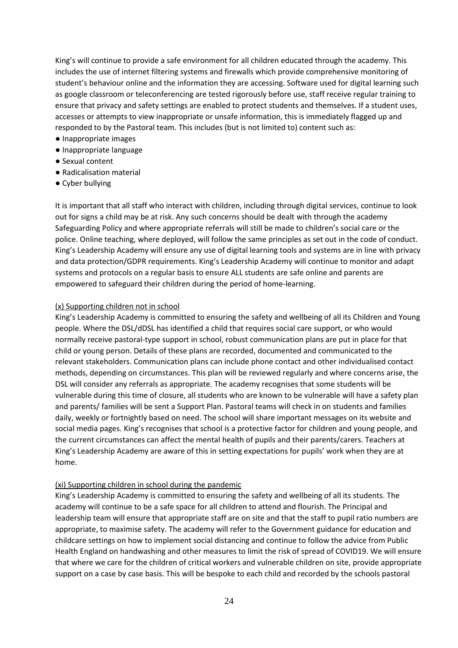King's will continue to provide a safe environment for all children educated through the academy. This includes the use of internet filtering systems and firewalls which provide comprehensive monitoring of student's behaviour online and the information they are accessing. Software used for digital learning such as google classroom or teleconferencing are tested rigorously before use, staff receive regular training to ensure that privacy and safety settings are enabled to protect students and themselves. If a student uses, accesses or attempts to view inappropriate or unsafe information, this is immediately flagged up and responded to by the Pastoral team. This includes (but is not limited to) content such as:

- Inappropriate images
- Inappropriate language
- Sexual content
- Radicalisation material
- Cyber bullying

It is important that all staff who interact with children, including through digital services, continue to look out for signs a child may be at risk. Any such concerns should be dealt with through the academy Safeguarding Policy and where appropriate referrals will still be made to children's social care or the police. Online teaching, where deployed, will follow the same principles as set out in the code of conduct. King's Leadership Academy will ensure any use of digital learning tools and systems are in line with privacy and data protection/GDPR requirements. King's Leadership Academy will continue to monitor and adapt systems and protocols on a regular basis to ensure ALL students are safe online and parents are empowered to safeguard their children during the period of home-learning.

#### (x) Supporting children not in school

King's Leadership Academy is committed to ensuring the safety and wellbeing of all its Children and Young people. Where the DSL/dDSL has identified a child that requires social care support, or who would normally receive pastoral-type support in school, robust communication plans are put in place for that child or young person. Details of these plans are recorded, documented and communicated to the relevant stakeholders. Communication plans can include phone contact and other individualised contact methods, depending on circumstances. This plan will be reviewed regularly and where concerns arise, the DSL will consider any referrals as appropriate. The academy recognises that some students will be vulnerable during this time of closure, all students who are known to be vulnerable will have a safety plan and parents/ families will be sent a Support Plan. Pastoral teams will check in on students and families daily, weekly or fortnightly based on need. The school will share important messages on its website and social media pages. King's recognises that school is a protective factor for children and young people, and the current circumstances can affect the mental health of pupils and their parents/carers. Teachers at King's Leadership Academy are aware of this in setting expectations for pupils' work when they are at home.

#### (xi) Supporting children in school during the pandemic

King's Leadership Academy is committed to ensuring the safety and wellbeing of all its students. The academy will continue to be a safe space for all children to attend and flourish. The Principal and leadership team will ensure that appropriate staff are on site and that the staff to pupil ratio numbers are appropriate, to maximise safety. The academy will refer to the Government guidance for education and childcare settings on how to implement social distancing and continue to follow the advice from Public Health England on handwashing and other measures to limit the risk of spread of COVID19. We will ensure that where we care for the children of critical workers and vulnerable children on site, provide appropriate support on a case by case basis. This will be bespoke to each child and recorded by the schools pastoral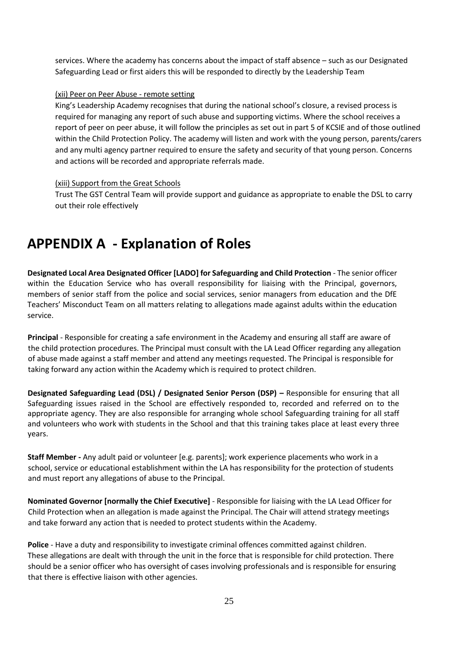services. Where the academy has concerns about the impact of staff absence – such as our Designated Safeguarding Lead or first aiders this will be responded to directly by the Leadership Team

#### (xii) Peer on Peer Abuse - remote setting

King's Leadership Academy recognises that during the national school's closure, a revised process is required for managing any report of such abuse and supporting victims. Where the school receives a report of peer on peer abuse, it will follow the principles as set out in part 5 of KCSIE and of those outlined within the Child Protection Policy. The academy will listen and work with the young person, parents/carers and any multi agency partner required to ensure the safety and security of that young person. Concerns and actions will be recorded and appropriate referrals made.

#### (xiii) Support from the Great Schools

Trust The GST Central Team will provide support and guidance as appropriate to enable the DSL to carry out their role effectively

## <span id="page-24-0"></span>**APPENDIX A - Explanation of Roles**

**Designated Local Area Designated Officer [LADO] for Safeguarding and Child Protection** - The senior officer within the Education Service who has overall responsibility for liaising with the Principal, governors, members of senior staff from the police and social services, senior managers from education and the DfE Teachers' Misconduct Team on all matters relating to allegations made against adults within the education service.

**Principal** - Responsible for creating a safe environment in the Academy and ensuring all staff are aware of the child protection procedures. The Principal must consult with the LA Lead Officer regarding any allegation of abuse made against a staff member and attend any meetings requested. The Principal is responsible for taking forward any action within the Academy which is required to protect children.

**Designated Safeguarding Lead (DSL) / Designated Senior Person (DSP) –** Responsible for ensuring that all Safeguarding issues raised in the School are effectively responded to, recorded and referred on to the appropriate agency. They are also responsible for arranging whole school Safeguarding training for all staff and volunteers who work with students in the School and that this training takes place at least every three years.

**Staff Member -** Any adult paid or volunteer [e.g. parents]; work experience placements who work in a school, service or educational establishment within the LA has responsibility for the protection of students and must report any allegations of abuse to the Principal.

**Nominated Governor [normally the Chief Executive]** - Responsible for liaising with the LA Lead Officer for Child Protection when an allegation is made against the Principal. The Chair will attend strategy meetings and take forward any action that is needed to protect students within the Academy.

**Police** - Have a duty and responsibility to investigate criminal offences committed against children. These allegations are dealt with through the unit in the force that is responsible for child protection. There should be a senior officer who has oversight of cases involving professionals and is responsible for ensuring that there is effective liaison with other agencies.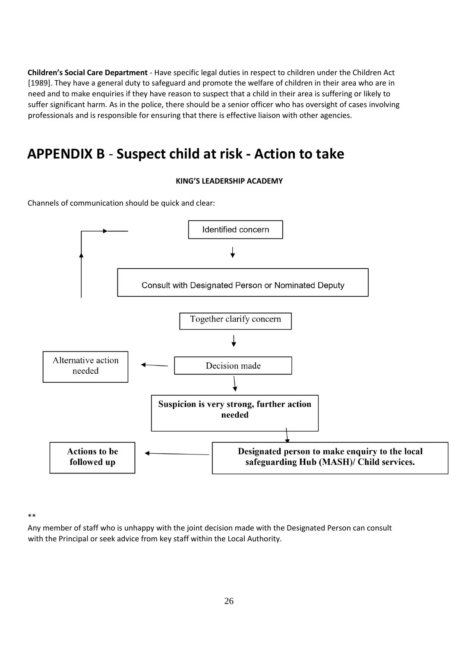**Children's Social Care Department** - Have specific legal duties in respect to children under the Children Act [1989]. They have a general duty to safeguard and promote the welfare of children in their area who are in need and to make enquiries if they have reason to suspect that a child in their area is suffering or likely to suffer significant harm. As in the police, there should be a senior officer who has oversight of cases involving professionals and is responsible for ensuring that there is effective liaison with other agencies.

## <span id="page-25-0"></span>**APPENDIX B** - **Suspect child at risk - Action to take**

### **KING'S LEADERSHIP ACADEMY**

Channels of communication should be quick and clear:



\*\*

Any member of staff who is unhappy with the joint decision made with the Designated Person can consult with the Principal or seek advice from key staff within the Local Authority.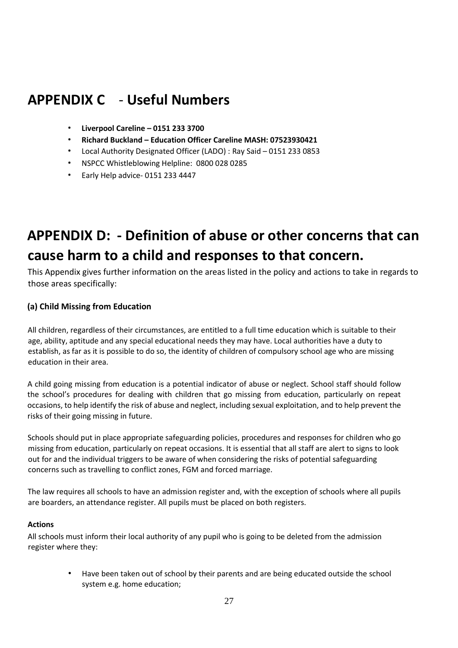## <span id="page-26-0"></span>**APPENDIX C** - **Useful Numbers**

- **Liverpool Careline – 0151 233 3700**
- **Richard Buckland – Education Officer Careline MASH: 07523930421**
- Local Authority Designated Officer (LADO) : Ray Said 0151 233 0853
- NSPCC Whistleblowing Helpline: 0800 028 0285
- Early Help advice- 0151 233 4447

## <span id="page-26-1"></span>**APPENDIX D: - Definition of abuse or other concerns that can cause harm to a child and responses to that concern.**

This Appendix gives further information on the areas listed in the policy and actions to take in regards to those areas specifically:

## **(a) Child Missing from Education**

All children, regardless of their circumstances, are entitled to a full time education which is suitable to their age, ability, aptitude and any special educational needs they may have. Local authorities have a duty to establish, as far as it is possible to do so, the identity of children of compulsory school age who are missing education in their area.

A child going missing from education is a potential indicator of abuse or neglect. School staff should follow the school's procedures for dealing with children that go missing from education, particularly on repeat occasions, to help identify the risk of abuse and neglect, including sexual exploitation, and to help prevent the risks of their going missing in future.

Schools should put in place appropriate safeguarding policies, procedures and responses for children who go missing from education, particularly on repeat occasions. It is essential that all staff are alert to signs to look out for and the individual triggers to be aware of when considering the risks of potential safeguarding concerns such as travelling to conflict zones, FGM and forced marriage.

The law requires all schools to have an admission register and, with the exception of schools where all pupils are boarders, an attendance register. All pupils must be placed on both registers.

### **Actions**

All schools must inform their local authority of any pupil who is going to be deleted from the admission register where they:

> • Have been taken out of school by their parents and are being educated outside the school system e.g. home education;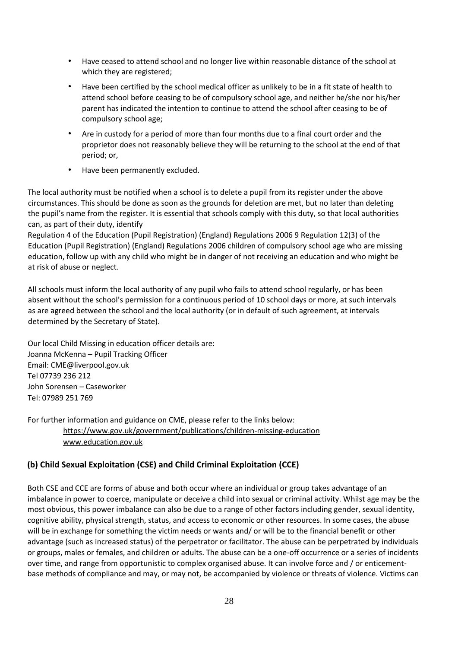- Have ceased to attend school and no longer live within reasonable distance of the school at which they are registered;
- Have been certified by the school medical officer as unlikely to be in a fit state of health to attend school before ceasing to be of compulsory school age, and neither he/she nor his/her parent has indicated the intention to continue to attend the school after ceasing to be of compulsory school age;
- Are in custody for a period of more than four months due to a final court order and the proprietor does not reasonably believe they will be returning to the school at the end of that period; or,
- Have been permanently excluded.

The local authority must be notified when a school is to delete a pupil from its register under the above circumstances. This should be done as soon as the grounds for deletion are met, but no later than deleting the pupil's name from the register. It is essential that schools comply with this duty, so that local authorities can, as part of their duty, identify

Regulation 4 of the Education (Pupil Registration) (England) Regulations 2006 9 Regulation 12(3) of the Education (Pupil Registration) (England) Regulations 2006 children of compulsory school age who are missing education, follow up with any child who might be in danger of not receiving an education and who might be at risk of abuse or neglect.

All schools must inform the local authority of any pupil who fails to attend school regularly, or has been absent without the school's permission for a continuous period of 10 school days or more, at such intervals as are agreed between the school and the local authority (or in default of such agreement, at intervals determined by the Secretary of State).

Our local Child Missing in education officer details are: Joanna McKenna – Pupil Tracking Officer Email: CME@liverpool.gov.uk Tel 07739 236 212 John Sorensen – Caseworker Tel: 07989 251 769

For further information and guidance on CME, please refer to the links below: <https://www.gov.uk/government/publications/children-missing-education> [www.education.gov.uk](http://www.education.gov.uk/) 

## **(b) Child Sexual Exploitation (CSE) and Child Criminal Exploitation (CCE)**

Both CSE and CCE are forms of abuse and both occur where an individual or group takes advantage of an imbalance in power to coerce, manipulate or deceive a child into sexual or criminal activity. Whilst age may be the most obvious, this power imbalance can also be due to a range of other factors including gender, sexual identity, cognitive ability, physical strength, status, and access to economic or other resources. In some cases, the abuse will be in exchange for something the victim needs or wants and/ or will be to the financial benefit or other advantage (such as increased status) of the perpetrator or facilitator. The abuse can be perpetrated by individuals or groups, males or females, and children or adults. The abuse can be a one-off occurrence or a series of incidents over time, and range from opportunistic to complex organised abuse. It can involve force and / or enticementbase methods of compliance and may, or may not, be accompanied by violence or threats of violence. Victims can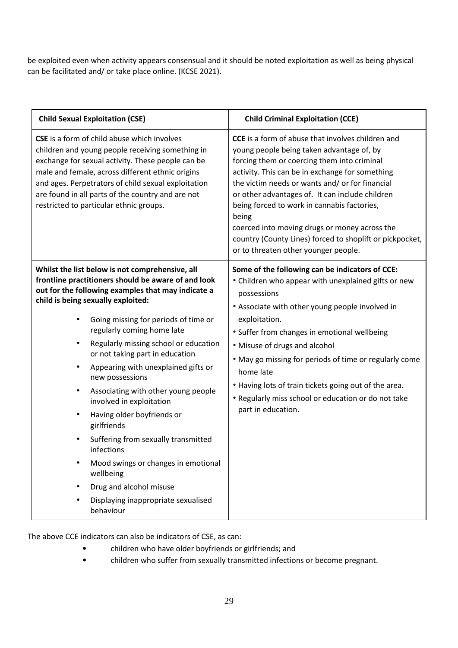be exploited even when activity appears consensual and it should be noted exploitation as well as being physical can be facilitated and/ or take place online. (KCSE 2021).

| <b>Child Sexual Exploitation (CSE)</b>                                                                                                                                                                                                                                                                                                                                                                                                                                                                                                                                                                                                                                                                                                                        | <b>Child Criminal Exploitation (CCE)</b>                                                                                                                                                                                                                                                                                                                                                                                                                                                                                   |
|---------------------------------------------------------------------------------------------------------------------------------------------------------------------------------------------------------------------------------------------------------------------------------------------------------------------------------------------------------------------------------------------------------------------------------------------------------------------------------------------------------------------------------------------------------------------------------------------------------------------------------------------------------------------------------------------------------------------------------------------------------------|----------------------------------------------------------------------------------------------------------------------------------------------------------------------------------------------------------------------------------------------------------------------------------------------------------------------------------------------------------------------------------------------------------------------------------------------------------------------------------------------------------------------------|
| <b>CSE</b> is a form of child abuse which involves<br>children and young people receiving something in<br>exchange for sexual activity. These people can be<br>male and female, across different ethnic origins<br>and ages. Perpetrators of child sexual exploitation<br>are found in all parts of the country and are not<br>restricted to particular ethnic groups.                                                                                                                                                                                                                                                                                                                                                                                        | <b>CCE</b> is a form of abuse that involves children and<br>young people being taken advantage of, by<br>forcing them or coercing them into criminal<br>activity. This can be in exchange for something<br>the victim needs or wants and/ or for financial<br>or other advantages of. It can include children<br>being forced to work in cannabis factories,<br>being<br>coerced into moving drugs or money across the<br>country (County Lines) forced to shoplift or pickpocket,<br>or to threaten other younger people. |
| Whilst the list below is not comprehensive, all<br>frontline practitioners should be aware of and look<br>out for the following examples that may indicate a<br>child is being sexually exploited:<br>Going missing for periods of time or<br>regularly coming home late<br>Regularly missing school or education<br>$\bullet$<br>or not taking part in education<br>Appearing with unexplained gifts or<br>new possessions<br>Associating with other young people<br>$\bullet$<br>involved in exploitation<br>Having older boyfriends or<br>$\bullet$<br>girlfriends<br>Suffering from sexually transmitted<br>infections<br>Mood swings or changes in emotional<br>wellbeing<br>Drug and alcohol misuse<br>Displaying inappropriate sexualised<br>behaviour | Some of the following can be indicators of CCE:<br>• Children who appear with unexplained gifts or new<br>possessions<br>• Associate with other young people involved in<br>exploitation.<br>• Suffer from changes in emotional wellbeing<br>• Misuse of drugs and alcohol<br>. May go missing for periods of time or regularly come<br>home late<br>• Having lots of train tickets going out of the area.<br>• Regularly miss school or education or do not take<br>part in education.                                    |

The above CCE indicators can also be indicators of CSE, as can:

- children who have older boyfriends or girlfriends; and
- children who suffer from sexually transmitted infections or become pregnant.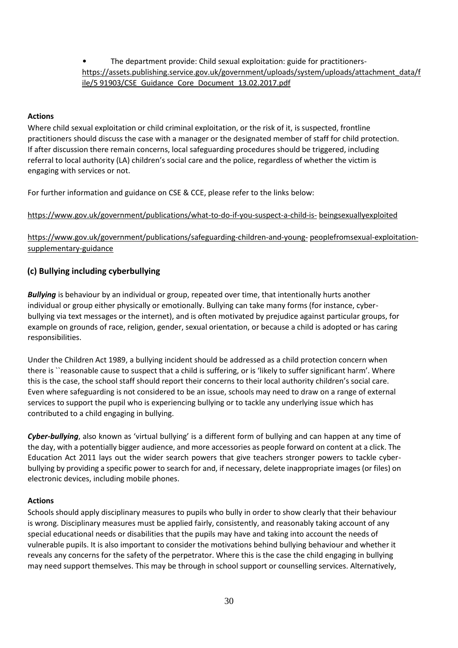• The department provide: Child sexual exploitation: guide for practitioners[https://assets.publishing.service.gov.uk/government/uploads/system/uploads/attachment\\_data/f](https://assets.publishing.service.gov.uk/government/uploads/system/uploads/attachment_data/file/591903/CSE_Guidance_Core_Document_13.02.2017.pdf) [ile/5 91903/CSE\\_Guidance\\_Core\\_Document\\_13.02.2017.pdf](https://assets.publishing.service.gov.uk/government/uploads/system/uploads/attachment_data/file/591903/CSE_Guidance_Core_Document_13.02.2017.pdf)

#### **Actions**

Where child sexual exploitation or child criminal exploitation, or the risk of it, is suspected, frontline practitioners should discuss the case with a manager or the designated member of staff for child protection. If after discussion there remain concerns, local safeguarding procedures should be triggered, including referral to local authority (LA) children's social care and the police, regardless of whether the victim is engaging with services or not.

For further information and guidance on CSE & CCE, please refer to the links below:

[https://www.gov.uk/government/publications/what-to-do-if-you-suspect-a-child-is-](https://www.gov.uk/government/publications/what-to-do-if-you-suspect-a-child-is-being-sexually-exploited) [beingsexuallyexploited](https://www.gov.uk/government/publications/what-to-do-if-you-suspect-a-child-is-being-sexually-exploited) 

[https://www.gov.uk/government/publications/safeguarding-children-and-young-](https://www.gov.uk/government/publications/safeguarding-children-and-young-people-from-sexual-exploitation-supplementary-guidance) [peoplefromsexual-exploitation](https://www.gov.uk/government/publications/safeguarding-children-and-young-people-from-sexual-exploitation-supplementary-guidance)[supplementary-guidance](https://www.gov.uk/government/publications/safeguarding-children-and-young-people-from-sexual-exploitation-supplementary-guidance) 

## **(c) Bullying including cyberbullying**

*Bullying* is behaviour by an individual or group, repeated over time, that intentionally hurts another individual or group either physically or emotionally. Bullying can take many forms (for instance, cyberbullying via text messages or the internet), and is often motivated by prejudice against particular groups, for example on grounds of race, religion, gender, sexual orientation, or because a child is adopted or has caring responsibilities.

Under the Children Act 1989, a bullying incident should be addressed as a child protection concern when there is ``reasonable cause to suspect that a child is suffering, or is 'likely to suffer significant harm'. Where this is the case, the school staff should report their concerns to their local authority children's social care. Even where safeguarding is not considered to be an issue, schools may need to draw on a range of external services to support the pupil who is experiencing bullying or to tackle any underlying issue which has contributed to a child engaging in bullying.

*Cyber-bullying*, also known as 'virtual bullying' is a different form of bullying and can happen at any time of the day, with a potentially bigger audience, and more accessories as people forward on content at a click. The Education Act 2011 lays out the wider search powers that give teachers stronger powers to tackle cyberbullying by providing a specific power to search for and, if necessary, delete inappropriate images (or files) on electronic devices, including mobile phones.

### **Actions**

Schools should apply disciplinary measures to pupils who bully in order to show clearly that their behaviour is wrong. Disciplinary measures must be applied fairly, consistently, and reasonably taking account of any special educational needs or disabilities that the pupils may have and taking into account the needs of vulnerable pupils. It is also important to consider the motivations behind bullying behaviour and whether it reveals any concerns for the safety of the perpetrator. Where this is the case the child engaging in bullying may need support themselves. This may be through in school support or counselling services. Alternatively,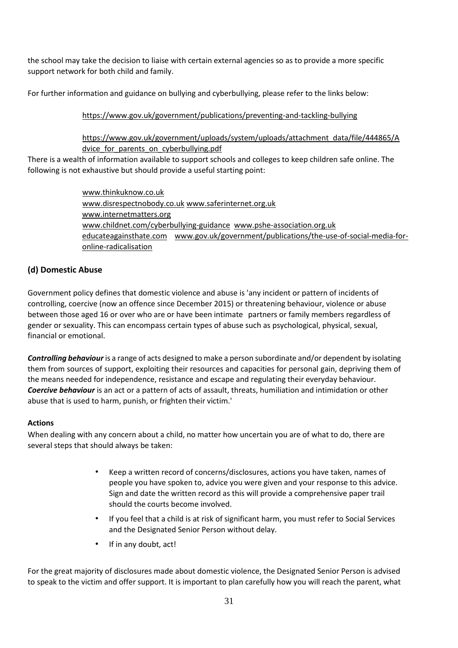the school may take the decision to liaise with certain external agencies so as to provide a more specific support network for both child and family.

For further information and guidance on bullying and cyberbullying, please refer to the links below:

## <https://www.gov.uk/government/publications/preventing-and-tackling-bullying>

## [https://www.gov.uk/government/uploads/system/uploads/attachment\\_data/file/444865/A](https://www.gov.uk/government/uploads/system/uploads/attachment_data/file/444865/Advice_for_parents_on_cyberbullying.pdf) dvice for parents on cyberbullying.pdf

There is a wealth of information available to support schools and colleges to keep children safe online. The following is not exhaustive but should provide a useful starting point:

> [www.thinkuknow.co.uk](http://www.thinkuknow.co.uk/)  [www.disrespectnobody.co.u](http://www.disrespectnobody.co.uk/)[k](http://www.saferinternet.org.uk/) [www.saferinternet.org.](http://www.saferinternet.org.uk/)[uk](http://www.internetmatters.org/)  [www.internetmatters.org](http://www.internetmatters.org/)  [www.childnet.com/cyberbullying-guidance](http://www.childnet.com/cyberbullying-guidance) [www.pshe-association.org.uk](http://www.pshe-association.org.uk/) [educ](http://www.pshe-association.org.uk/)ateagainsthate.com [www.gov.uk/government/publications/the-use-of-social-media-for](http://www.gov.uk/government/publications/the-use-of-social-media-for-online-radicalisation)[online-radicalisation](http://www.gov.uk/government/publications/the-use-of-social-media-for-online-radicalisation)

## **(d) Domestic Abuse**

Government policy defines that domestic violence and abuse is 'any incident or pattern of incidents of controlling, coercive (now an offence since December 2015) or threatening behaviour, violence or abuse between those aged 16 or over who are or have been intimate partners or family members regardless of gender or sexuality. This can encompass certain types of abuse such as psychological, physical, sexual, financial or emotional.

*Controlling behaviour*is a range of acts designed to make a person subordinate and/or dependent by isolating them from sources of support, exploiting their resources and capacities for personal gain, depriving them of the means needed for independence, resistance and escape and regulating their everyday behaviour. *Coercive behaviour* is an act or a pattern of acts of assault, threats, humiliation and intimidation or other abuse that is used to harm, punish, or frighten their victim.'

### **Actions**

When dealing with any concern about a child, no matter how uncertain you are of what to do, there are several steps that should always be taken:

- Keep a written record of concerns/disclosures, actions you have taken, names of people you have spoken to, advice you were given and your response to this advice. Sign and date the written record as this will provide a comprehensive paper trail should the courts become involved.
- If you feel that a child is at risk of significant harm, you must refer to Social Services and the Designated Senior Person without delay.
- If in any doubt, act!

For the great majority of disclosures made about domestic violence, the Designated Senior Person is advised to speak to the victim and offer support. It is important to plan carefully how you will reach the parent, what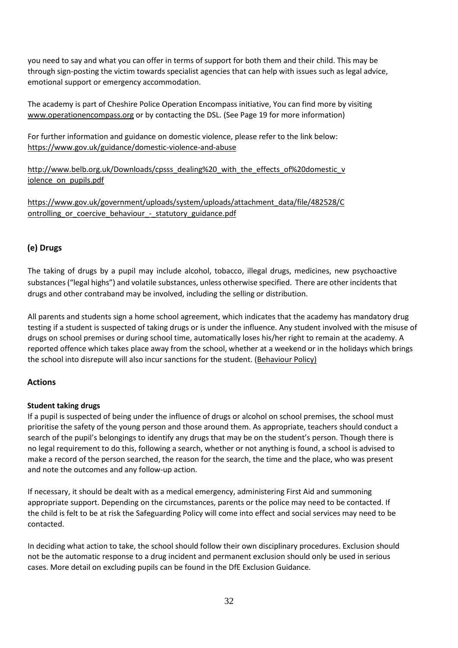you need to say and what you can offer in terms of support for both them and their child. This may be through sign-posting the victim towards specialist agencies that can help with issues such as legal advice, emotional support or emergency accommodation.

The academy is part of Cheshire Police Operation Encompass initiative, You can find more by visiting [www.operationencompass.org](http://www.operationencompass.org/) [o](http://www.operationencompass.org/)r by contacting the DSL. (See Page 19 for more information)

For further information and guidance on domestic violence, please refer to the link below: <https://www.gov.uk/guidance/domestic-violence-and-abuse>

http://www.belb.org.uk/Downloads/cpsss\_dealing%20\_with\_the\_effects\_of%20domestic\_v [iolence\\_on\\_pupils.pdf](http://www.belb.org.uk/Downloads/cpsss_dealing%20_with_the_effects_of%20domestic_violence_on_pupils.pdf) 

[https://www.gov.uk/government/uploads/system/uploads/attachment\\_data/file/482528/C](https://www.gov.uk/government/uploads/system/uploads/attachment_data/file/482528/Controlling_or_coercive_behaviour_-_statutory_guidance.pdf)  ontrolling or coercive behaviour - statutory guidance.pdf

## **(e) Drugs**

The taking of drugs by a pupil may include alcohol, tobacco, illegal drugs, medicines, new psychoactive substances ("legal highs") and volatile substances, unless otherwise specified. There are other incidents that drugs and other contraband may be involved, including the selling or distribution.

All parents and students sign a home school agreement, which indicates that the academy has mandatory drug testing if a student is suspected of taking drugs or is under the influence. Any student involved with the misuse of drugs on school premises or during school time, automatically loses his/her right to remain at the academy. A reported offence which takes place away from the school, whether at a weekend or in the holidays which brings the school into disrepute will also incur sanctions for the student. [\(Behaviour Policy\)](https://www.kingswarrington.com/wp-content/uploads/2018/10/Behaviour-and-Rewards-Policy-Oct18v2.pdf)

## **Actions**

### **Student taking drugs**

If a pupil is suspected of being under the influence of drugs or alcohol on school premises, the school must prioritise the safety of the young person and those around them. As appropriate, teachers should conduct a search of the pupil's belongings to identify any drugs that may be on the student's person. Though there is no legal requirement to do this, following a search, whether or not anything is found, a school is advised to make a record of the person searched, the reason for the search, the time and the place, who was present and note the outcomes and any follow-up action.

If necessary, it should be dealt with as a medical emergency, administering First Aid and summoning appropriate support. Depending on the circumstances, parents or the police may need to be contacted. If the child is felt to be at risk the Safeguarding Policy will come into effect and social services may need to be contacted.

In deciding what action to take, the school should follow their own disciplinary procedures. Exclusion should not be the automatic response to a drug incident and permanent exclusion should only be used in serious cases. More detail on excluding pupils can be found in the DfE Exclusion Guidance.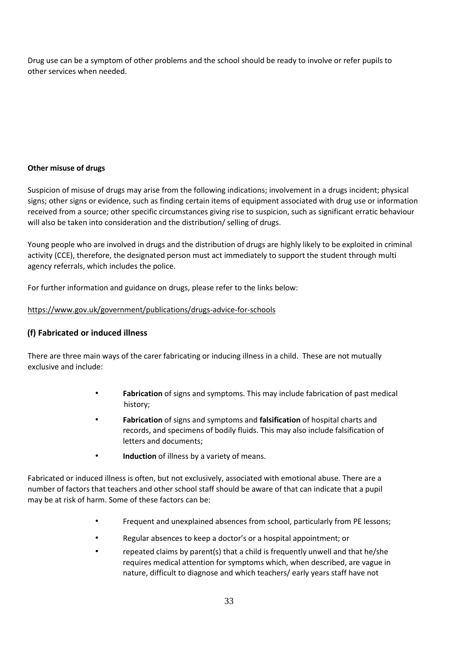Drug use can be a symptom of other problems and the school should be ready to involve or refer pupils to other services when needed.

## **Other misuse of drugs**

Suspicion of misuse of drugs may arise from the following indications; involvement in a drugs incident; physical signs; other signs or evidence, such as finding certain items of equipment associated with drug use or information received from a source; other specific circumstances giving rise to suspicion, such as significant erratic behaviour will also be taken into consideration and the distribution/ selling of drugs.

Young people who are involved in drugs and the distribution of drugs are highly likely to be exploited in criminal activity (CCE), therefore, the designated person must act immediately to support the student through multi agency referrals, which includes the police.

For further information and guidance on drugs, please refer to the links below:

## <https://www.gov.uk/government/publications/drugs-advice-for-schools>

## **(f) Fabricated or induced illness**

There are three main ways of the carer fabricating or inducing illness in a child. These are not mutually exclusive and include:

- **Fabrication** of signs and symptoms. This may include fabrication of past medical history;
- **Fabrication** of signs and symptoms and **falsification** of hospital charts and records, and specimens of bodily fluids. This may also include falsification of letters and documents;
- **Induction** of illness by a variety of means.

Fabricated or induced illness is often, but not exclusively, associated with emotional abuse. There are a number of factors that teachers and other school staff should be aware of that can indicate that a pupil may be at risk of harm. Some of these factors can be:

- Frequent and unexplained absences from school, particularly from PE lessons;
- Regular absences to keep a doctor's or a hospital appointment; or
- repeated claims by parent(s) that a child is frequently unwell and that he/she requires medical attention for symptoms which, when described, are vague in nature, difficult to diagnose and which teachers/ early years staff have not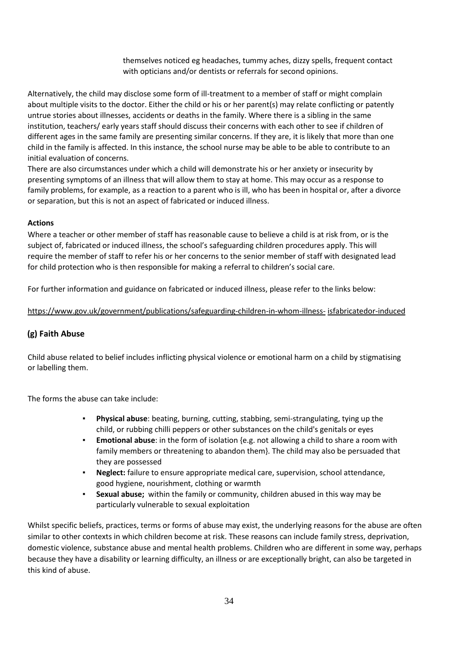themselves noticed eg headaches, tummy aches, dizzy spells, frequent contact with opticians and/or dentists or referrals for second opinions.

Alternatively, the child may disclose some form of ill-treatment to a member of staff or might complain about multiple visits to the doctor. Either the child or his or her parent(s) may relate conflicting or patently untrue stories about illnesses, accidents or deaths in the family. Where there is a sibling in the same institution, teachers/ early years staff should discuss their concerns with each other to see if children of different ages in the same family are presenting similar concerns. If they are, it is likely that more than one child in the family is affected. In this instance, the school nurse may be able to be able to contribute to an initial evaluation of concerns.

There are also circumstances under which a child will demonstrate his or her anxiety or insecurity by presenting symptoms of an illness that will allow them to stay at home. This may occur as a response to family problems, for example, as a reaction to a parent who is ill, who has been in hospital or, after a divorce or separation, but this is not an aspect of fabricated or induced illness.

#### **Actions**

Where a teacher or other member of staff has reasonable cause to believe a child is at risk from, or is the subject of, fabricated or induced illness, the school's safeguarding children procedures apply. This will require the member of staff to refer his or her concerns to the senior member of staff with designated lead for child protection who is then responsible for making a referral to children's social care.

For further information and guidance on fabricated or induced illness, please refer to the links below:

#### [https://www.gov.uk/government/publications/safeguarding-children-in-whom-illness-](https://www.gov.uk/government/publications/safeguarding-children-in-whom-illness-is-fabricated-or-induced) [isfabricatedor-induced](https://www.gov.uk/government/publications/safeguarding-children-in-whom-illness-is-fabricated-or-induced)

### **(g) Faith Abuse**

Child abuse related to belief includes inflicting physical violence or emotional harm on a child by stigmatising or labelling them.

The forms the abuse can take include:

- **Physical abuse**: beating, burning, cutting, stabbing, semi-strangulating, tying up the child, or rubbing chilli peppers or other substances on the child's genitals or eyes
- **Emotional abuse**: in the form of isolation {e.g. not allowing a child to share a room with family members or threatening to abandon them}. The child may also be persuaded that they are possessed
- **Neglect:** failure to ensure appropriate medical care, supervision, school attendance, good hygiene, nourishment, clothing or warmth
- **Sexual abuse;** within the family or community, children abused in this way may be particularly vulnerable to sexual exploitation

Whilst specific beliefs, practices, terms or forms of abuse may exist, the underlying reasons for the abuse are often similar to other contexts in which children become at risk. These reasons can include family stress, deprivation, domestic violence, substance abuse and mental health problems. Children who are different in some way, perhaps because they have a disability or learning difficulty, an illness or are exceptionally bright, can also be targeted in this kind of abuse.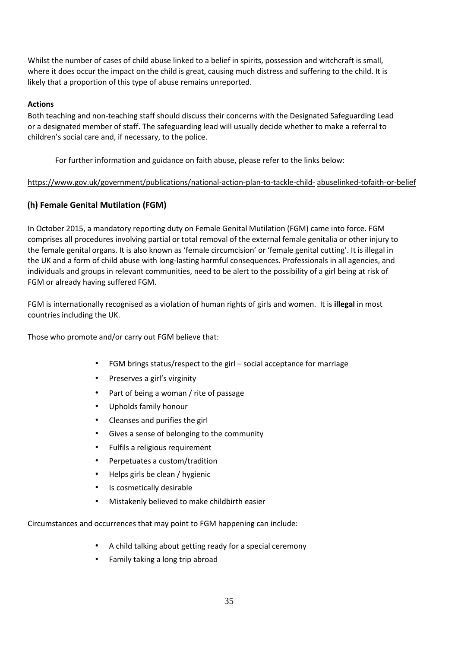Whilst the number of cases of child abuse linked to a belief in spirits, possession and witchcraft is small, where it does occur the impact on the child is great, causing much distress and suffering to the child. It is likely that a proportion of this type of abuse remains unreported.

### **Actions**

Both teaching and non-teaching staff should discuss their concerns with the Designated Safeguarding Lead or a designated member of staff. The safeguarding lead will usually decide whether to make a referral to children's social care and, if necessary, to the police.

For further information and guidance on faith abuse, please refer to the links below:

## [https://www.gov.uk/government/publications/national-action-plan-to-tackle-child-](https://www.gov.uk/government/publications/national-action-plan-to-tackle-child-abuse-linked-to-faith-or-belief) [abuselinked-tofaith-or-belief](https://www.gov.uk/government/publications/national-action-plan-to-tackle-child-abuse-linked-to-faith-or-belief)

## **(h) Female Genital Mutilation (FGM)**

In October 2015, a mandatory reporting duty on Female Genital Mutilation (FGM) came into force. FGM comprises all procedures involving partial or total removal of the external female genitalia or other injury to the female genital organs. It is also known as 'female circumcision' or 'female genital cutting'. It is illegal in the UK and a form of child abuse with long-lasting harmful consequences. Professionals in all agencies, and individuals and groups in relevant communities, need to be alert to the possibility of a girl being at risk of FGM or already having suffered FGM.

FGM is internationally recognised as a violation of human rights of girls and women. It is **illegal** in most countries including the UK.

Those who promote and/or carry out FGM believe that:

- FGM brings status/respect to the girl social acceptance for marriage
- Preserves a girl's virginity
- Part of being a woman / rite of passage
- Upholds family honour
- Cleanses and purifies the girl
- Gives a sense of belonging to the community
- Fulfils a religious requirement
- Perpetuates a custom/tradition
- Helps girls be clean / hygienic
- Is cosmetically desirable
- Mistakenly believed to make childbirth easier

Circumstances and occurrences that may point to FGM happening can include:

- A child talking about getting ready for a special ceremony
- Family taking a long trip abroad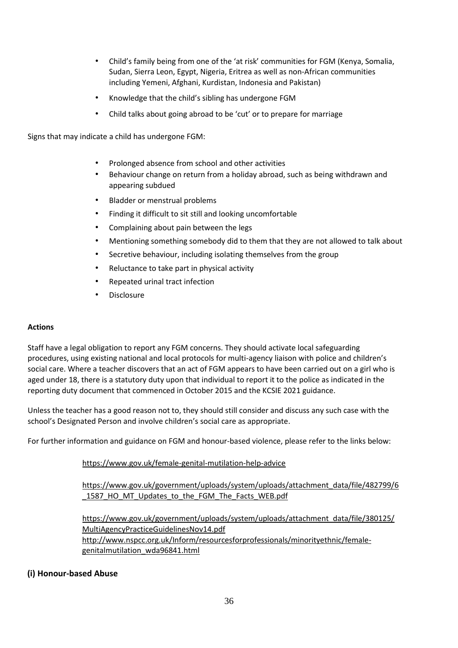- Child's family being from one of the 'at risk' communities for FGM (Kenya, Somalia, Sudan, Sierra Leon, Egypt, Nigeria, Eritrea as well as non-African communities including Yemeni, Afghani, Kurdistan, Indonesia and Pakistan)
- Knowledge that the child's sibling has undergone FGM
- Child talks about going abroad to be 'cut' or to prepare for marriage

Signs that may indicate a child has undergone FGM:

- Prolonged absence from school and other activities
- Behaviour change on return from a holiday abroad, such as being withdrawn and appearing subdued
- Bladder or menstrual problems
- Finding it difficult to sit still and looking uncomfortable
- Complaining about pain between the legs
- Mentioning something somebody did to them that they are not allowed to talk about
- Secretive behaviour, including isolating themselves from the group
- Reluctance to take part in physical activity
- Repeated urinal tract infection
- Disclosure

#### **Actions**

Staff have a legal obligation to report any FGM concerns. They should activate local safeguarding procedures, using existing national and local protocols for multi-agency liaison with police and children's social care. Where a teacher discovers that an act of FGM appears to have been carried out on a girl who is aged under 18, there is a statutory duty upon that individual to report it to the police as indicated in the reporting duty document that commenced in October 2015 and the KCSIE 2021 guidance.

Unless the teacher has a good reason not to, they should still consider and discuss any such case with the school's Designated Person and involve children's social care as appropriate.

For further information and guidance on FGM and honour-based violence, please refer to the links below:

### <https://www.gov.uk/female-genital-mutilation-help-advice>

[https://www.gov.uk/government/uploads/system/uploads/attachment\\_data/file/482799/6](https://www.gov.uk/government/uploads/system/uploads/attachment_data/file/482799/6_1587_HO_MT_Updates_to_the_FGM_The_Facts_WEB.pdf) 1587 HO\_MT\_Updates\_to\_the\_FGM\_The\_Facts\_WEB.pdf

[https://www.gov.uk/government/uploads/system/uploads/attachment\\_data/file/380125/](https://www.gov.uk/government/uploads/system/uploads/attachment_data/file/380125/MultiAgencyPracticeGuidelinesNov14.pdf) [MultiAgencyPracticeGuidelinesNov14.pdf](https://www.gov.uk/government/uploads/system/uploads/attachment_data/file/380125/MultiAgencyPracticeGuidelinesNov14.pdf)  [http://www.nspcc.org.uk/Inform/resourcesforprofessionals/minorityethnic/female](http://www.nspcc.org.uk/Inform/resourcesforprofessionals/minorityethnic/female-genital-mutilation_wda96841.html)[genitalmutilation\\_wda96841.html](http://www.nspcc.org.uk/Inform/resourcesforprofessionals/minorityethnic/female-genital-mutilation_wda96841.html) 

### **(i) Honour-based Abuse**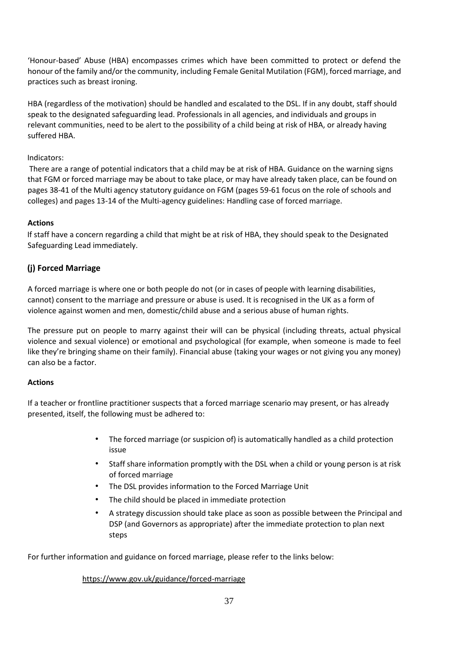'Honour-based' Abuse (HBA) encompasses crimes which have been committed to protect or defend the honour of the family and/or the community, including Female Genital Mutilation (FGM), forced marriage, and practices such as breast ironing.

HBA (regardless of the motivation) should be handled and escalated to the DSL. If in any doubt, staff should speak to the designated safeguarding lead. Professionals in all agencies, and individuals and groups in relevant communities, need to be alert to the possibility of a child being at risk of HBA, or already having suffered HBA.

#### Indicators:

There are a range of potential indicators that a child may be at risk of HBA. Guidance on the warning signs that FGM or forced marriage may be about to take place, or may have already taken place, can be found on pages 38-41 of the Multi agency statutory guidance on FGM (pages 59-61 focus on the role of schools and colleges) and pages 13-14 of the Multi-agency guidelines: Handling case of forced marriage.

## **Actions**

If staff have a concern regarding a child that might be at risk of HBA, they should speak to the Designated Safeguarding Lead immediately.

## **(j) Forced Marriage**

A forced marriage is where one or both people do not (or in cases of people with learning disabilities, cannot) consent to the marriage and pressure or abuse is used. It is recognised in the UK as a form of violence against women and men, domestic/child abuse and a serious abuse of human rights.

The pressure put on people to marry against their will can be physical (including threats, actual physical violence and sexual violence) or emotional and psychological (for example, when someone is made to feel like they're bringing shame on their family). Financial abuse (taking your wages or not giving you any money) can also be a factor.

### **Actions**

If a teacher or frontline practitioner suspects that a forced marriage scenario may present, or has already presented, itself, the following must be adhered to:

- The forced marriage (or suspicion of) is automatically handled as a child protection issue
- Staff share information promptly with the DSL when a child or young person is at risk of forced marriage
- The DSL provides information to the Forced Marriage Unit
- The child should be placed in immediate protection
- A strategy discussion should take place as soon as possible between the Principal and DSP (and Governors as appropriate) after the immediate protection to plan next steps

For further information and guidance on forced marriage, please refer to the links below:

#### <https://www.gov.uk/guidance/forced-marriage>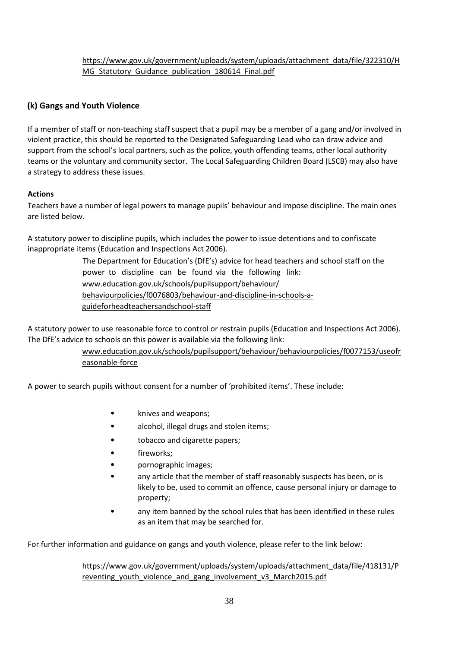## [https://www.gov.uk/government/uploads/system/uploads/attachment\\_data/file/322310/H](https://www.gov.uk/government/uploads/system/uploads/attachment_data/file/322310/HMG_Statutory_Guidance_publication_180614_Final.pdf) MG\_Statutory\_Guidance\_publication\_180614\_Final.pdf

## **(k) Gangs and Youth Violence**

If a member of staff or non-teaching staff suspect that a pupil may be a member of a gang and/or involved in violent practice, this should be reported to the Designated Safeguarding Lead who can draw advice and support from the school's local partners, such as the police, youth offending teams, other local authority teams or the voluntary and community sector. The Local Safeguarding Children Board (LSCB) may also have a strategy to address these issues.

## **Actions**

Teachers have a number of legal powers to manage pupils' behaviour and impose discipline. The main ones are listed below.

A statutory power to discipline pupils, which includes the power to issue detentions and to confiscate inappropriate items (Education and Inspections Act 2006).

> The Department for Education's (DfE's) advice for head teachers and school staff on the power to discipline can be found via the following link: www.education.gov.uk/schools/pupilsupport/behaviour/ behaviourpolicies/f0076803/behaviour-and-discipline-in-schools-aguideforheadteachersandschool-staff

A statutory power to use reasonable force to control or restrain pupils (Education and Inspections Act 2006). The DfE's advice to schools on this power is available via the following link:

> www.education.gov.uk/schools/pupilsupport/behaviour/behaviourpolicies/f0077153/useofr easonable-force

A power to search pupils without consent for a number of 'prohibited items'. These include:

- knives and weapons;
- alcohol, illegal drugs and stolen items;
- tobacco and cigarette papers;
- fireworks:
- pornographic images;
- any article that the member of staff reasonably suspects has been, or is likely to be, used to commit an offence, cause personal injury or damage to property;
- any item banned by the school rules that has been identified in these rules as an item that may be searched for.

For further information and guidance on gangs and youth violence, please refer to the link below:

[https://www.gov.uk/government/uploads/system/uploads/attachment\\_data/file/418131/P](https://www.gov.uk/government/uploads/system/uploads/attachment_data/file/418131/Preventing_youth_violence_and_gang_involvement_v3_March2015.pdf)  reventing youth violence and gang involvement v3 March2015.pdf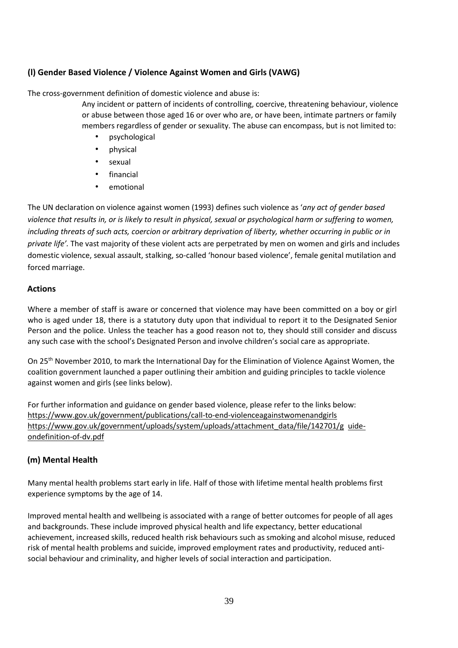## **(l) Gender Based Violence / Violence Against Women and Girls (VAWG)**

The cross-government definition of domestic violence and abuse is:

Any incident or pattern of incidents of controlling, coercive, threatening behaviour, violence or abuse between those aged 16 or over who are, or have been, intimate partners or family members regardless of gender or sexuality. The abuse can encompass, but is not limited to:

- psychological
- physical
- sexual
- **financial**
- emotional

The UN declaration on violence against women (1993) defines such violence as '*any act of gender based violence that results in, or is likely to result in physical, sexual or psychological harm or suffering to women, including threats of such acts, coercion or arbitrary deprivation of liberty, whether occurring in public or in private life'.* The vast majority of these violent acts are perpetrated by men on women and girls and includes domestic violence, sexual assault, stalking, so-called 'honour based violence', female genital mutilation and forced marriage.

### **Actions**

Where a member of staff is aware or concerned that violence may have been committed on a boy or girl who is aged under 18, there is a statutory duty upon that individual to report it to the Designated Senior Person and the police. Unless the teacher has a good reason not to, they should still consider and discuss any such case with the school's Designated Person and involve children's social care as appropriate.

On 25th November 2010, to mark the International Day for the Elimination of Violence Against Women, the coalition government launched a paper outlining their ambition and guiding principles to tackle violence against women and girls (see links below).

For further information and guidance on gender based violence, please refer to the links below: [https://www.gov.uk/government/publications/call-to-end-violenceagainstwomenandgirls](https://www.gov.uk/government/publications/call-to-end-violence-against-women-and-girls)  [https://www.gov.uk/government/uploads/system/uploads/attachment\\_data/file/142701/g uide](https://www.gov.uk/government/uploads/system/uploads/attachment_data/file/142701/guide-on-definition-of-dv.pdf)[ondefinition-of-dv.pdf](https://www.gov.uk/government/uploads/system/uploads/attachment_data/file/142701/guide-on-definition-of-dv.pdf) 

## **(m) Mental Health**

Many mental health problems start early in life. Half of those with lifetime mental health problems first experience symptoms by the age of 14.

Improved mental health and wellbeing is associated with a range of better outcomes for people of all ages and backgrounds. These include improved physical health and life expectancy, better educational achievement, increased skills, reduced health risk behaviours such as smoking and alcohol misuse, reduced risk of mental health problems and suicide, improved employment rates and productivity, reduced antisocial behaviour and criminality, and higher levels of social interaction and participation.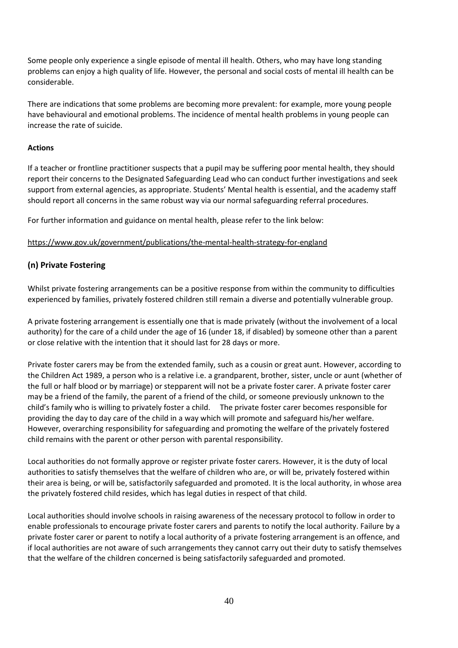Some people only experience a single episode of mental ill health. Others, who may have long standing problems can enjoy a high quality of life. However, the personal and social costs of mental ill health can be considerable.

There are indications that some problems are becoming more prevalent: for example, more young people have behavioural and emotional problems. The incidence of mental health problems in young people can increase the rate of suicide.

### **Actions**

If a teacher or frontline practitioner suspects that a pupil may be suffering poor mental health, they should report their concerns to the Designated Safeguarding Lead who can conduct further investigations and seek support from external agencies, as appropriate. Students' Mental health is essential, and the academy staff should report all concerns in the same robust way via our normal safeguarding referral procedures.

For further information and guidance on mental health, please refer to the link below:

### <https://www.gov.uk/government/publications/the-mental-health-strategy-for-england>

## **(n) Private Fostering**

Whilst private fostering arrangements can be a positive response from within the community to difficulties experienced by families, privately fostered children still remain a diverse and potentially vulnerable group.

A private fostering arrangement is essentially one that is made privately (without the involvement of a local authority) for the care of a child under the age of 16 (under 18, if disabled) by someone other than a parent or close relative with the intention that it should last for 28 days or more.

Private foster carers may be from the extended family, such as a cousin or great aunt. However, according to the Children Act 1989, a person who is a relative i.e. a grandparent, brother, sister, uncle or aunt (whether of the full or half blood or by marriage) or stepparent will not be a private foster carer. A private foster carer may be a friend of the family, the parent of a friend of the child, or someone previously unknown to the child's family who is willing to privately foster a child. The private foster carer becomes responsible for providing the day to day care of the child in a way which will promote and safeguard his/her welfare. However, overarching responsibility for safeguarding and promoting the welfare of the privately fostered child remains with the parent or other person with parental responsibility.

Local authorities do not formally approve or register private foster carers. However, it is the duty of local authorities to satisfy themselves that the welfare of children who are, or will be, privately fostered within their area is being, or will be, satisfactorily safeguarded and promoted. It is the local authority, in whose area the privately fostered child resides, which has legal duties in respect of that child.

Local authorities should involve schools in raising awareness of the necessary protocol to follow in order to enable professionals to encourage private foster carers and parents to notify the local authority. Failure by a private foster carer or parent to notify a local authority of a private fostering arrangement is an offence, and if local authorities are not aware of such arrangements they cannot carry out their duty to satisfy themselves that the welfare of the children concerned is being satisfactorily safeguarded and promoted.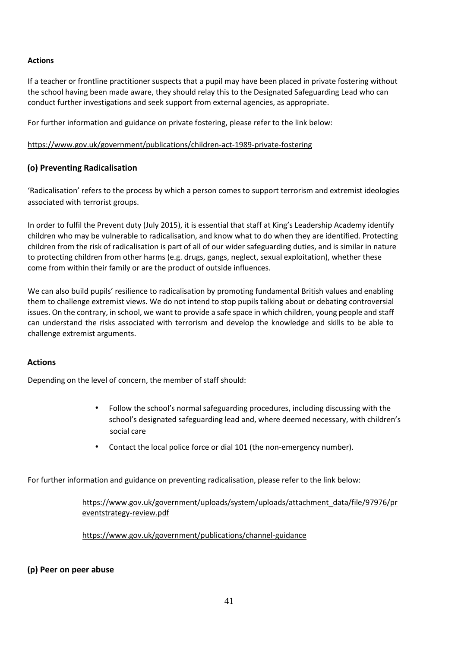### **Actions**

If a teacher or frontline practitioner suspects that a pupil may have been placed in private fostering without the school having been made aware, they should relay this to the Designated Safeguarding Lead who can conduct further investigations and seek support from external agencies, as appropriate.

For further information and guidance on private fostering, please refer to the link below:

#### <https://www.gov.uk/government/publications/children-act-1989-private-fostering>

### **(o) Preventing Radicalisation**

'Radicalisation' refers to the process by which a person comes to support terrorism and extremist ideologies associated with terrorist groups.

In order to fulfil the Prevent duty (July 2015), it is essential that staff at King's Leadership Academy identify children who may be vulnerable to radicalisation, and know what to do when they are identified. Protecting children from the risk of radicalisation is part of all of our wider safeguarding duties, and is similar in nature to protecting children from other harms (e.g. drugs, gangs, neglect, sexual exploitation), whether these come from within their family or are the product of outside influences.

We can also build pupils' resilience to radicalisation by promoting fundamental British values and enabling them to challenge extremist views. We do not intend to stop pupils talking about or debating controversial issues. On the contrary, in school, we want to provide a safe space in which children, young people and staff can understand the risks associated with terrorism and develop the knowledge and skills to be able to challenge extremist arguments.

### **Actions**

Depending on the level of concern, the member of staff should:

- Follow the school's normal safeguarding procedures, including discussing with the school's designated safeguarding lead and, where deemed necessary, with children's social care
- Contact the local police force or dial 101 (the non-emergency number).

For further information and guidance on preventing radicalisation, please refer to the link below:

[https://www.gov.uk/government/uploads/system/uploads/attachment\\_data/file/97976/pr](https://www.gov.uk/government/uploads/system/uploads/attachment_data/file/97976/prevent-strategy-review.pdf)  [eventstrategy-review.pdf](https://www.gov.uk/government/uploads/system/uploads/attachment_data/file/97976/prevent-strategy-review.pdf) 

<https://www.gov.uk/government/publications/channel-guidance>

**(p) Peer on peer abuse**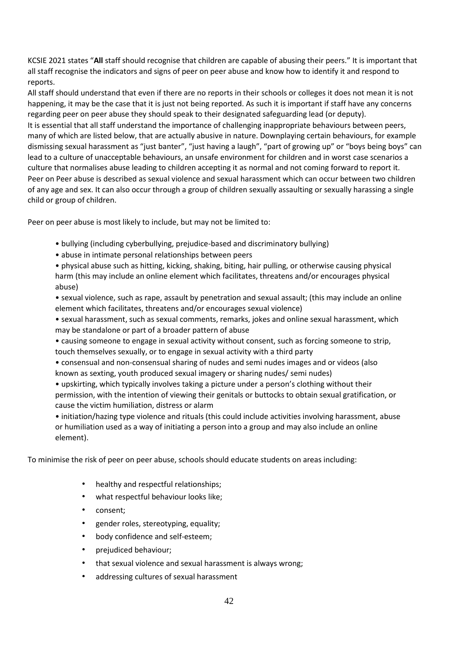KCSIE 2021 states "**All** staff should recognise that children are capable of abusing their peers." It is important that all staff recognise the indicators and signs of peer on peer abuse and know how to identify it and respond to reports.

All staff should understand that even if there are no reports in their schools or colleges it does not mean it is not happening, it may be the case that it is just not being reported. As such it is important if staff have any concerns regarding peer on peer abuse they should speak to their designated safeguarding lead (or deputy). It is essential that all staff understand the importance of challenging inappropriate behaviours between peers, many of which are listed below, that are actually abusive in nature. Downplaying certain behaviours, for example dismissing sexual harassment as "just banter", "just having a laugh", "part of growing up" or "boys being boys" can lead to a culture of unacceptable behaviours, an unsafe environment for children and in worst case scenarios a culture that normalises abuse leading to children accepting it as normal and not coming forward to report it. Peer on Peer abuse is described as sexual violence and sexual harassment which can occur between two children of any age and sex. It can also occur through a group of children sexually assaulting or sexually harassing a single child or group of children.

Peer on peer abuse is most likely to include, but may not be limited to:

- bullying (including cyberbullying, prejudice-based and discriminatory bullying)
- abuse in intimate personal relationships between peers
- physical abuse such as hitting, kicking, shaking, biting, hair pulling, or otherwise causing physical harm (this may include an online element which facilitates, threatens and/or encourages physical abuse)
- sexual violence, such as rape, assault by penetration and sexual assault; (this may include an online element which facilitates, threatens and/or encourages sexual violence)
- sexual harassment, such as sexual comments, remarks, jokes and online sexual harassment, which may be standalone or part of a broader pattern of abuse
- causing someone to engage in sexual activity without consent, such as forcing someone to strip, touch themselves sexually, or to engage in sexual activity with a third party
- consensual and non-consensual sharing of nudes and semi nudes images and or videos (also known as sexting, youth produced sexual imagery or sharing nudes/ semi nudes)
- upskirting, which typically involves taking a picture under a person's clothing without their permission, with the intention of viewing their genitals or buttocks to obtain sexual gratification, or cause the victim humiliation, distress or alarm
- initiation/hazing type violence and rituals (this could include activities involving harassment, abuse or humiliation used as a way of initiating a person into a group and may also include an online element).

To minimise the risk of peer on peer abuse, schools should educate students on areas including:

- healthy and respectful relationships;
- what respectful behaviour looks like;
- consent;
- gender roles, stereotyping, equality;
- body confidence and self-esteem;
- prejudiced behaviour;
- that sexual violence and sexual harassment is always wrong;
- addressing cultures of sexual harassment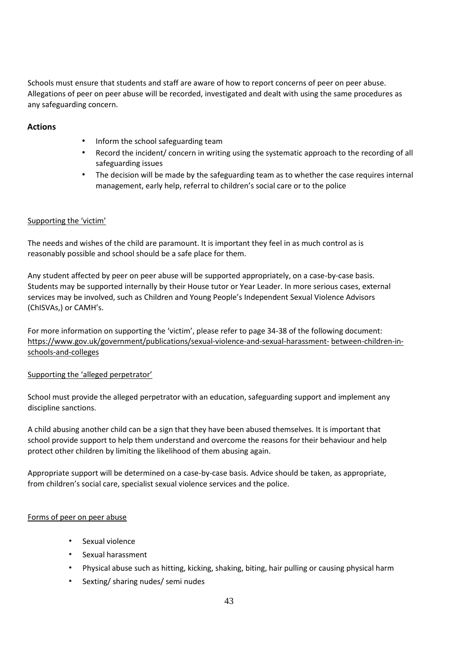Schools must ensure that students and staff are aware of how to report concerns of peer on peer abuse. Allegations of peer on peer abuse will be recorded, investigated and dealt with using the same procedures as any safeguarding concern.

## **Actions**

- Inform the school safeguarding team
- Record the incident/ concern in writing using the systematic approach to the recording of all safeguarding issues
- The decision will be made by the safeguarding team as to whether the case requires internal management, early help, referral to children's social care or to the police

### Supporting the 'victim'

The needs and wishes of the child are paramount. It is important they feel in as much control as is reasonably possible and school should be a safe place for them.

Any student affected by peer on peer abuse will be supported appropriately, on a case-by-case basis. Students may be supported internally by their House tutor or Year Leader. In more serious cases, external services may be involved, such as Children and Young People's Independent Sexual Violence Advisors (ChISVAs,) or CAMH's.

For more information on supporting the 'victim', please refer to page 34-38 of the following document: [https://www.gov.uk/government/publications/sexual-violence-and-sexual-harassment-](https://www.gov.uk/government/publications/sexual-violence-and-sexual-harassment-between-children-in-schools-and-colleges) [between-children-in](https://www.gov.uk/government/publications/sexual-violence-and-sexual-harassment-between-children-in-schools-and-colleges)[schools-and-colleges](https://www.gov.uk/government/publications/sexual-violence-and-sexual-harassment-between-children-in-schools-and-colleges) 

### Supporting the 'alleged perpetrator'

School must provide the alleged perpetrator with an education, safeguarding support and implement any discipline sanctions.

A child abusing another child can be a sign that they have been abused themselves. It is important that school provide support to help them understand and overcome the reasons for their behaviour and help protect other children by limiting the likelihood of them abusing again.

Appropriate support will be determined on a case-by-case basis. Advice should be taken, as appropriate, from children's social care, specialist sexual violence services and the police.

### Forms of peer on peer abuse

- Sexual violence
- Sexual harassment
- Physical abuse such as hitting, kicking, shaking, biting, hair pulling or causing physical harm
- Sexting/ sharing nudes/ semi nudes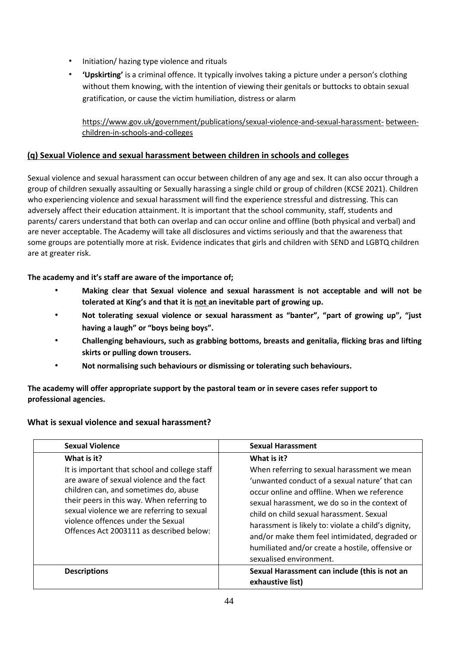- Initiation/ hazing type violence and rituals
- **'Upskirting'** is a criminal offence. It typically involves taking a picture under a person's clothing without them knowing, with the intention of viewing their genitals or buttocks to obtain sexual gratification, or cause the victim humiliation, distress or alarm

## [https://www.gov.uk/government/publications/sexual-violence-and-sexual-harassment-](https://www.gov.uk/government/publications/sexual-violence-and-sexual-harassment-between-children-in-schools-and-colleges) [between](https://www.gov.uk/government/publications/sexual-violence-and-sexual-harassment-between-children-in-schools-and-colleges)[children-in-schools-and-colleges](https://www.gov.uk/government/publications/sexual-violence-and-sexual-harassment-between-children-in-schools-and-colleges)

## **(q) Sexual Violence and sexual harassment between children in schools and colleges**

Sexual violence and sexual harassment can occur between children of any age and sex. It can also occur through a group of children sexually assaulting or Sexually harassing a single child or group of children (KCSE 2021). Children who experiencing violence and sexual harassment will find the experience stressful and distressing. This can adversely affect their education attainment. It is important that the school community, staff, students and parents/ carers understand that both can overlap and can occur online and offline (both physical and verbal) and are never acceptable. The Academy will take all disclosures and victims seriously and that the awareness that some groups are potentially more at risk. Evidence indicates that girls and children with SEND and LGBTQ children are at greater risk.

## **The academy and it's staff are aware of the importance of;**

- **Making clear that Sexual violence and sexual harassment is not acceptable and will not be tolerated at King's and that it is not an inevitable part of growing up.**
- **Not tolerating sexual violence or sexual harassment as "banter", "part of growing up", "just having a laugh" or "boys being boys".**
- **Challenging behaviours, such as grabbing bottoms, breasts and genitalia, flicking bras and lifting skirts or pulling down trousers.**
- **Not normalising such behaviours or dismissing or tolerating such behaviours.**

**The academy will offer appropriate support by the pastoral team or in severe cases refer support to professional agencies.** 

### **What is sexual violence and sexual harassment?**

| <b>Sexual Violence</b>                                                                                                                                                                                                                                                                                                           | <b>Sexual Harassment</b>                                                                                                                                                                                                                                                                                                                                                                                                                         |
|----------------------------------------------------------------------------------------------------------------------------------------------------------------------------------------------------------------------------------------------------------------------------------------------------------------------------------|--------------------------------------------------------------------------------------------------------------------------------------------------------------------------------------------------------------------------------------------------------------------------------------------------------------------------------------------------------------------------------------------------------------------------------------------------|
| What is it?<br>It is important that school and college staff<br>are aware of sexual violence and the fact<br>children can, and sometimes do, abuse<br>their peers in this way. When referring to<br>sexual violence we are referring to sexual<br>violence offences under the Sexual<br>Offences Act 2003111 as described below: | What is it?<br>When referring to sexual harassment we mean<br>'unwanted conduct of a sexual nature' that can<br>occur online and offline. When we reference<br>sexual harassment, we do so in the context of<br>child on child sexual harassment. Sexual<br>harassment is likely to: violate a child's dignity,<br>and/or make them feel intimidated, degraded or<br>humiliated and/or create a hostile, offensive or<br>sexualised environment. |
| <b>Descriptions</b>                                                                                                                                                                                                                                                                                                              | Sexual Harassment can include (this is not an<br>exhaustive list)                                                                                                                                                                                                                                                                                                                                                                                |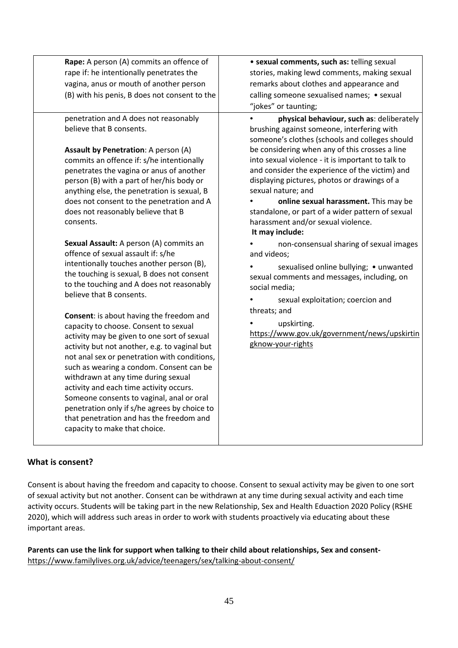| Rape: A person (A) commits an offence of                                                                                                                                                                                                                                                                                                                                                                         | · sexual comments, such as: telling sexual                                                                                                |
|------------------------------------------------------------------------------------------------------------------------------------------------------------------------------------------------------------------------------------------------------------------------------------------------------------------------------------------------------------------------------------------------------------------|-------------------------------------------------------------------------------------------------------------------------------------------|
| rape if: he intentionally penetrates the                                                                                                                                                                                                                                                                                                                                                                         | stories, making lewd comments, making sexual                                                                                              |
| vagina, anus or mouth of another person                                                                                                                                                                                                                                                                                                                                                                          | remarks about clothes and appearance and                                                                                                  |
| (B) with his penis, B does not consent to the                                                                                                                                                                                                                                                                                                                                                                    | calling someone sexualised names; • sexual                                                                                                |
|                                                                                                                                                                                                                                                                                                                                                                                                                  | "jokes" or taunting;                                                                                                                      |
| penetration and A does not reasonably<br>believe that B consents.                                                                                                                                                                                                                                                                                                                                                | physical behaviour, such as: deliberately<br>brushing against someone, interfering with<br>someone's clothes (schools and colleges should |
| <b>Assault by Penetration:</b> A person (A)                                                                                                                                                                                                                                                                                                                                                                      | be considering when any of this crosses a line                                                                                            |
| commits an offence if: s/he intentionally                                                                                                                                                                                                                                                                                                                                                                        | into sexual violence - it is important to talk to                                                                                         |
| penetrates the vagina or anus of another                                                                                                                                                                                                                                                                                                                                                                         | and consider the experience of the victim) and                                                                                            |
| person (B) with a part of her/his body or<br>anything else, the penetration is sexual, B                                                                                                                                                                                                                                                                                                                         | displaying pictures, photos or drawings of a<br>sexual nature; and                                                                        |
| does not consent to the penetration and A                                                                                                                                                                                                                                                                                                                                                                        | online sexual harassment. This may be                                                                                                     |
| does not reasonably believe that B<br>consents.                                                                                                                                                                                                                                                                                                                                                                  | standalone, or part of a wider pattern of sexual<br>harassment and/or sexual violence.<br>It may include:                                 |
| Sexual Assault: A person (A) commits an<br>offence of sexual assault if: s/he<br>intentionally touches another person (B),                                                                                                                                                                                                                                                                                       | non-consensual sharing of sexual images<br>and videos;<br>sexualised online bullying; • unwanted                                          |
| the touching is sexual, B does not consent<br>to the touching and A does not reasonably<br>believe that B consents.                                                                                                                                                                                                                                                                                              | sexual comments and messages, including, on<br>social media;                                                                              |
|                                                                                                                                                                                                                                                                                                                                                                                                                  | sexual exploitation; coercion and                                                                                                         |
| Consent: is about having the freedom and                                                                                                                                                                                                                                                                                                                                                                         | threats; and                                                                                                                              |
| capacity to choose. Consent to sexual<br>activity may be given to one sort of sexual<br>activity but not another, e.g. to vaginal but<br>not anal sex or penetration with conditions,<br>such as wearing a condom. Consent can be<br>withdrawn at any time during sexual<br>activity and each time activity occurs.<br>Someone consents to vaginal, anal or oral<br>penetration only if s/he agrees by choice to | upskirting.<br>https://www.gov.uk/government/news/upskirtin<br>gknow-your-rights                                                          |
| that penetration and has the freedom and<br>capacity to make that choice.                                                                                                                                                                                                                                                                                                                                        |                                                                                                                                           |

### **What is consent?**

Consent is about having the freedom and capacity to choose. Consent to sexual activity may be given to one sort of sexual activity but not another. Consent can be withdrawn at any time during sexual activity and each time activity occurs. Students will be taking part in the new Relationship, Sex and Health Eduaction 2020 Policy (RSHE 2020), which will address such areas in order to work with students proactively via educating about these important areas.

**Parents can use the link for support when talking to their child about relationships, Sex and consent**<https://www.familylives.org.uk/advice/teenagers/sex/talking-about-consent/>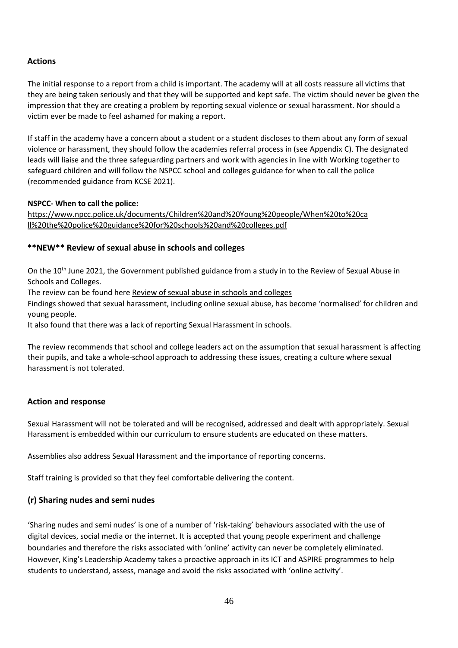## **Actions**

The initial response to a report from a child is important. The academy will at all costs reassure all victims that they are being taken seriously and that they will be supported and kept safe. The victim should never be given the impression that they are creating a problem by reporting sexual violence or sexual harassment. Nor should a victim ever be made to feel ashamed for making a report.

If staff in the academy have a concern about a student or a student discloses to them about any form of sexual violence or harassment, they should follow the academies referral process in (see Appendix C). The designated leads will liaise and the three safeguarding partners and work with agencies in line with Working together to safeguard children and will follow the NSPCC school and colleges guidance for when to call the police (recommended guidance from KCSE 2021).

#### **NSPCC- When to call the police:**

[https://www.npcc.police.uk/documents/Children%20and%20Young%20people/When%20to%20ca](https://www.npcc.police.uk/documents/Children%20and%20Young%20people/When%20to%20call%20the%20police%20guidance%20for%20schools%20and%20colleges.pdf)  [ll%20the%20police%20guidance%20for%20schools%20and%20colleges.pdf](https://www.npcc.police.uk/documents/Children%20and%20Young%20people/When%20to%20call%20the%20police%20guidance%20for%20schools%20and%20colleges.pdf)

## **\*\*NEW\*\* Review of sexual abuse in schools and colleges**

On the 10<sup>th</sup> June 2021, the Government published guidance from a study in to the Review of Sexual Abuse in Schools and Colleges.

The review can be found her[e Review of sexual abuse in schools and colleges](https://www.gov.uk/government/publications/review-of-sexual-abuse-in-schools-and-colleges/review-of-sexual-abuse-in-schools-and-colleges)

Findings showed that sexual harassment, including online sexual abuse, has become 'normalised' for children and young people.

It also found that there was a lack of reporting Sexual Harassment in schools.

The review recommends that school and college leaders act on the assumption that sexual harassment is affecting their pupils, and take a whole-school approach to addressing these issues, creating a culture where sexual harassment is not tolerated.

### **Action and response**

Sexual Harassment will not be tolerated and will be recognised, addressed and dealt with appropriately. Sexual Harassment is embedded within our curriculum to ensure students are educated on these matters.

Assemblies also address Sexual Harassment and the importance of reporting concerns.

Staff training is provided so that they feel comfortable delivering the content.

### **(r) Sharing nudes and semi nudes**

'Sharing nudes and semi nudes' is one of a number of 'risk-taking' behaviours associated with the use of digital devices, social media or the internet. It is accepted that young people experiment and challenge boundaries and therefore the risks associated with 'online' activity can never be completely eliminated. However, King's Leadership Academy takes a proactive approach in its ICT and ASPIRE programmes to help students to understand, assess, manage and avoid the risks associated with 'online activity'.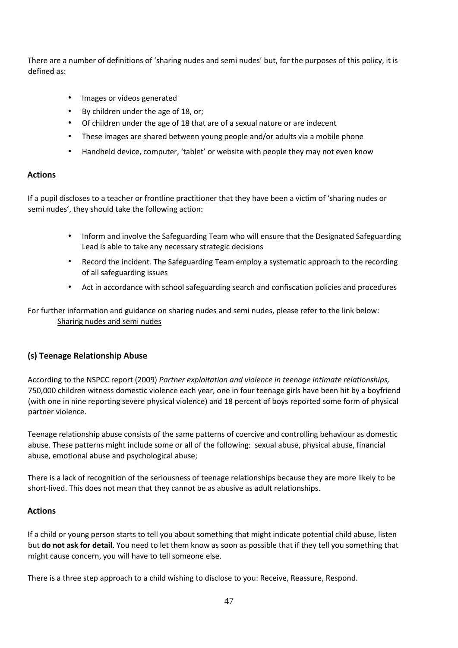There are a number of definitions of 'sharing nudes and semi nudes' but, for the purposes of this policy, it is defined as:

- Images or videos generated
- By children under the age of 18, or;
- Of children under the age of 18 that are of a sexual nature or are indecent
- These images are shared between young people and/or adults via a mobile phone
- Handheld device, computer, 'tablet' or website with people they may not even know

#### **Actions**

If a pupil discloses to a teacher or frontline practitioner that they have been a victim of 'sharing nudes or semi nudes', they should take the following action:

- Inform and involve the Safeguarding Team who will ensure that the Designated Safeguarding Lead is able to take any necessary strategic decisions
- Record the incident. The Safeguarding Team employ a systematic approach to the recording of all safeguarding issues
- Act in accordance with school safeguarding search and confiscation policies and procedures

For further information and guidance on sharing nudes and semi nudes, please refer to the link below: [Sharing nudes and semi nudes](https://ineqe.com/wp-content/uploads/2021/01/UKCIS_sharing_nudes_and_semi_nudes_advice_for_education_settings_V2.pdf)

### **(s) Teenage Relationship Abuse**

According to the NSPCC report (2009) *Partner exploitation and violence in teenage intimate relationships,*  750,000 children witness domestic violence each year, one in four teenage girls have been hit by a boyfriend (with one in nine reporting severe physical violence) and 18 percent of boys reported some form of physical partner violence.

Teenage relationship abuse consists of the same patterns of coercive and controlling behaviour as domestic abuse. These patterns might include some or all of the following: sexual abuse, physical abuse, financial abuse, emotional abuse and psychological abuse;

There is a lack of recognition of the seriousness of teenage relationships because they are more likely to be short-lived. This does not mean that they cannot be as abusive as adult relationships.

### **Actions**

If a child or young person starts to tell you about something that might indicate potential child abuse, listen but **do not ask for detail**. You need to let them know as soon as possible that if they tell you something that might cause concern, you will have to tell someone else.

There is a three step approach to a child wishing to disclose to you: Receive, Reassure, Respond.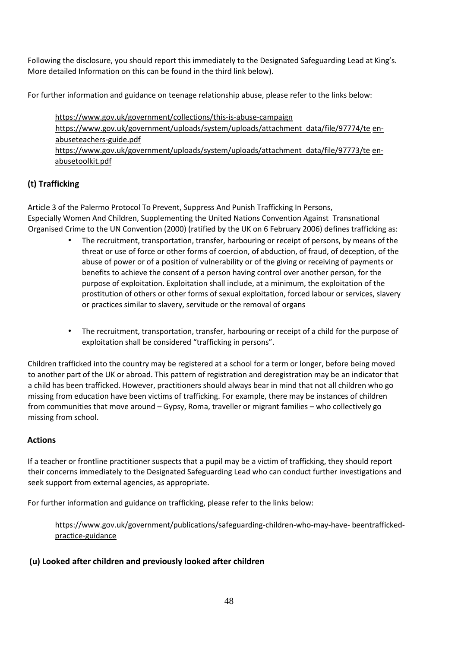Following the disclosure, you should report this immediately to the Designated Safeguarding Lead at King's. More detailed Information on this can be found in the third link below).

For further information and guidance on teenage relationship abuse, please refer to the links below:

<https://www.gov.uk/government/collections/this-is-abuse-campaign> [https://www.gov.uk/government/uploads/system/uploads/attachment\\_data/file/97774/te](https://www.gov.uk/government/uploads/system/uploads/attachment_data/file/97774/teen-abuse-teachers-guide.pdf) [en](https://www.gov.uk/government/uploads/system/uploads/attachment_data/file/97774/teen-abuse-teachers-guide.pdf)[abuseteachers-guide.pdf](https://www.gov.uk/government/uploads/system/uploads/attachment_data/file/97774/teen-abuse-teachers-guide.pdf) [https://www.gov.uk/government/uploads/system/uploads/attachment\\_data/file/97773/te](https://www.gov.uk/government/uploads/system/uploads/attachment_data/file/97773/teen-abuse-toolkit.pdf) [en](https://www.gov.uk/government/uploads/system/uploads/attachment_data/file/97773/teen-abuse-toolkit.pdf)[abusetoolkit.pdf](https://www.gov.uk/government/uploads/system/uploads/attachment_data/file/97773/teen-abuse-toolkit.pdf) 

## **(t) Trafficking**

Article 3 of the Palermo Protocol To Prevent, Suppress And Punish Trafficking In Persons, Especially Women And Children, Supplementing the United Nations Convention Against Transnational Organised Crime to the UN Convention (2000) (ratified by the UK on 6 February 2006) defines trafficking as:

- The recruitment, transportation, transfer, harbouring or receipt of persons, by means of the threat or use of force or other forms of coercion, of abduction, of fraud, of deception, of the abuse of power or of a position of vulnerability or of the giving or receiving of payments or benefits to achieve the consent of a person having control over another person, for the purpose of exploitation. Exploitation shall include, at a minimum, the exploitation of the prostitution of others or other forms of sexual exploitation, forced labour or services, slavery or practices similar to slavery, servitude or the removal of organs
- The recruitment, transportation, transfer, harbouring or receipt of a child for the purpose of exploitation shall be considered "trafficking in persons".

Children trafficked into the country may be registered at a school for a term or longer, before being moved to another part of the UK or abroad. This pattern of registration and deregistration may be an indicator that a child has been trafficked. However, practitioners should always bear in mind that not all children who go missing from education have been victims of trafficking. For example, there may be instances of children from communities that move around – Gypsy, Roma, traveller or migrant families – who collectively go missing from school.

### **Actions**

If a teacher or frontline practitioner suspects that a pupil may be a victim of trafficking, they should report their concerns immediately to the Designated Safeguarding Lead who can conduct further investigations and seek support from external agencies, as appropriate.

For further information and guidance on trafficking, please refer to the links below:

[https://www.gov.uk/government/publications/safeguarding-children-who-may-have-](https://www.gov.uk/government/publications/safeguarding-children-who-may-have-been-trafficked-practice-guidance) [beentrafficked](https://www.gov.uk/government/publications/safeguarding-children-who-may-have-been-trafficked-practice-guidance)[practice-guidance](https://www.gov.uk/government/publications/safeguarding-children-who-may-have-been-trafficked-practice-guidance) 

### **(u) Looked after children and previously looked after children**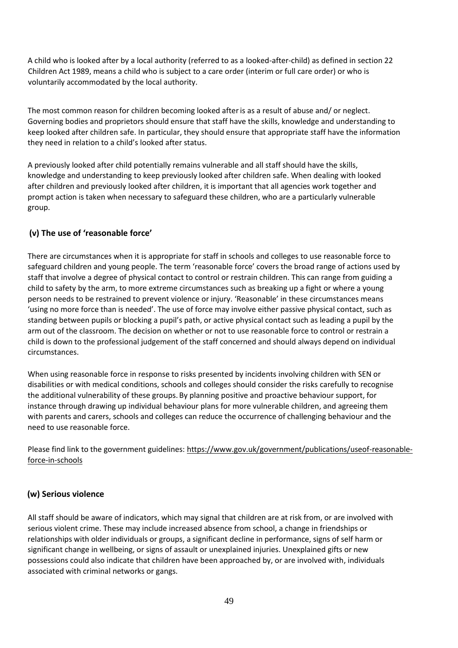A child who is looked after by a local authority (referred to as a looked-after-child) as defined in section 22 Children Act 1989, means a child who is subject to a care order (interim or full care order) or who is voluntarily accommodated by the local authority.

The most common reason for children becoming looked afteris as a result of abuse and/ or neglect. Governing bodies and proprietors should ensure that staff have the skills, knowledge and understanding to keep looked after children safe. In particular, they should ensure that appropriate staff have the information they need in relation to a child's looked after status.

A previously looked after child potentially remains vulnerable and all staff should have the skills, knowledge and understanding to keep previously looked after children safe. When dealing with looked after children and previously looked after children, it is important that all agencies work together and prompt action is taken when necessary to safeguard these children, who are a particularly vulnerable group.

## **(v) The use of 'reasonable force'**

There are circumstances when it is appropriate for staff in schools and colleges to use reasonable force to safeguard children and young people. The term 'reasonable force' covers the broad range of actions used by staff that involve a degree of physical contact to control or restrain children. This can range from guiding a child to safety by the arm, to more extreme circumstances such as breaking up a fight or where a young person needs to be restrained to prevent violence or injury. 'Reasonable' in these circumstances means 'using no more force than is needed'. The use of force may involve either passive physical contact, such as standing between pupils or blocking a pupil's path, or active physical contact such as leading a pupil by the arm out of the classroom. The decision on whether or not to use reasonable force to control or restrain a child is down to the professional judgement of the staff concerned and should always depend on individual circumstances.

When using reasonable force in response to risks presented by incidents involving children with SEN or disabilities or with medical conditions, schools and colleges should consider the risks carefully to recognise the additional vulnerability of these groups. By planning positive and proactive behaviour support, for instance through drawing up individual behaviour plans for more vulnerable children, and agreeing them with parents and carers, schools and colleges can reduce the occurrence of challenging behaviour and the need to use reasonable force.

Please find link to the government guidelines: [https://www.gov.uk/government/publications/useof-reasonable](https://www.gov.uk/government/publications/use-of-reasonable-force-in-schools)[force-in-schools](https://www.gov.uk/government/publications/use-of-reasonable-force-in-schools)

## **(w) Serious violence**

All staff should be aware of indicators, which may signal that children are at risk from, or are involved with serious violent crime. These may include increased absence from school, a change in friendships or relationships with older individuals or groups, a significant decline in performance, signs of self harm or significant change in wellbeing, or signs of assault or unexplained injuries. Unexplained gifts or new possessions could also indicate that children have been approached by, or are involved with, individuals associated with criminal networks or gangs.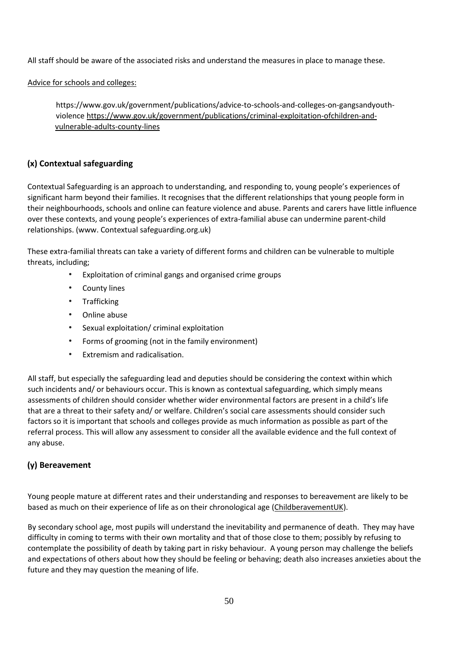All staff should be aware of the associated risks and understand the measures in place to manage these.

Advice for schools and colleges:

https://www.gov.uk/government/publications/advice-to-schools-and-colleges-on-gangsandyouthviolenc[e https://www.gov.uk/government/publications/criminal-exploitation-ofchildren-and](https://www.gov.uk/government/publications/criminal-exploitation-of-children-and-vulnerable-adults-county-lines)[vulnerable-adults-county-lines](https://www.gov.uk/government/publications/criminal-exploitation-of-children-and-vulnerable-adults-county-lines) 

## **(x) Contextual safeguarding**

Contextual Safeguarding is an approach to understanding, and responding to, young people's experiences of significant harm beyond their families. It recognises that the different relationships that young people form in their neighbourhoods, schools and online can feature violence and abuse. Parents and carers have little influence over these contexts, and young people's experiences of extra-familial abuse can undermine parent-child relationships. (www. Contextual safeguarding.org.uk)

These extra-familial threats can take a variety of different forms and children can be vulnerable to multiple threats, including;

- Exploitation of criminal gangs and organised crime groups
- **County lines**
- Trafficking
- Online abuse
- Sexual exploitation/ criminal exploitation
- Forms of grooming (not in the family environment)
- Extremism and radicalisation.

All staff, but especially the safeguarding lead and deputies should be considering the context within which such incidents and/ or behaviours occur. This is known as contextual safeguarding, which simply means assessments of children should consider whether wider environmental factors are present in a child's life that are a threat to their safety and/ or welfare. Children's social care assessments should consider such factors so it is important that schools and colleges provide as much information as possible as part of the referral process. This will allow any assessment to consider all the available evidence and the full context of any abuse.

## **(y) Bereavement**

Young people mature at different rates and their understanding and responses to bereavement are likely to be based as much on their experience of life as on their chronological age [\(ChildberavementUK\).](https://www.childbereavementuk.org/)

By secondary school age, most pupils will understand the inevitability and permanence of death. They may have difficulty in coming to terms with their own mortality and that of those close to them; possibly by refusing to contemplate the possibility of death by taking part in risky behaviour. A young person may challenge the beliefs and expectations of others about how they should be feeling or behaving; death also increases anxieties about the future and they may question the meaning of life.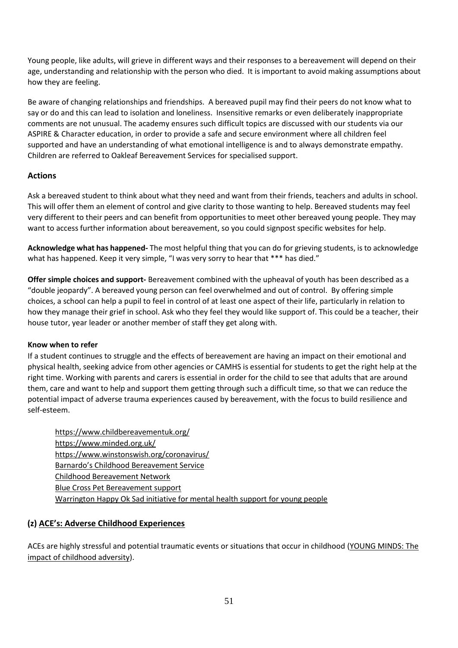Young people, like adults, will grieve in different ways and their responses to a bereavement will depend on their age, understanding and relationship with the person who died. It is important to avoid making assumptions about how they are feeling.

Be aware of changing relationships and friendships. A bereaved pupil may find their peers do not know what to say or do and this can lead to isolation and loneliness. Insensitive remarks or even deliberately inappropriate comments are not unusual. The academy ensures such difficult topics are discussed with our students via our ASPIRE & Character education, in order to provide a safe and secure environment where all children feel supported and have an understanding of what emotional intelligence is and to always demonstrate empathy. Children are referred to Oakleaf Bereavement Services for specialised support.

## **Actions**

Ask a bereaved student to think about what they need and want from their friends, teachers and adults in school. This will offer them an element of control and give clarity to those wanting to help. Bereaved students may feel very different to their peers and can benefit from opportunities to meet other bereaved young people. They may want to access further information about bereavement, so you could signpost specific websites for help.

**Acknowledge what has happened-** The most helpful thing that you can do for grieving students, is to acknowledge what has happened. Keep it very simple, "I was very sorry to hear that \*\*\* has died."

**Offer simple choices and support-** Bereavement combined with the upheaval of youth has been described as a "double jeopardy". A bereaved young person can feel overwhelmed and out of control. By offering simple choices, a school can help a pupil to feel in control of at least one aspect of their life, particularly in relation to how they manage their grief in school. Ask who they feel they would like support of. This could be a teacher, their house tutor, year leader or another member of staff they get along with.

### **Know when to refer**

If a student continues to struggle and the effects of bereavement are having an impact on their emotional and physical health, seeking advice from other agencies or CAMHS is essential for students to get the right help at the right time. Working with parents and carers is essential in order for the child to see that adults that are around them, care and want to help and support them getting through such a difficult time, so that we can reduce the potential impact of adverse trauma experiences caused by bereavement, with the focus to build resilience and self-esteem.

<https://www.childbereavementuk.org/> <https://www.minded.org.uk/> <https://www.winstonswish.org/coronavirus/> [Barnardo's Childhood Bereavement Service](https://www.barnardos.org.uk/what-we-do/services/child-bereavement-service-general) [Childhood Bereavement Network](http://www.childhoodbereavementnetwork.org.uk/help-around-a-death/covid-19.aspx) [Blue Cross Pet Bereavement support](https://www.bluecross.org.uk/pet-bereavement-and-pet-loss) [Warrington Happy Ok Sad initiative for mental health support for young people](https://happyoksad.warrington.gov.uk/)

## **(z) ACE's: Adverse Childhood Experiences**

ACEs are highly stressful and potential traumatic events or situations that occur in childhood [\(YOUNG MINDS: The](https://e5ed3774-d9e6-4c6d-87df-48a25ea021a4.filesusr.com/ugd/2d9f51_b742795ac1e943f5a473da24edfff588.pdf)  [impact of childhood adversity\).](https://e5ed3774-d9e6-4c6d-87df-48a25ea021a4.filesusr.com/ugd/2d9f51_b742795ac1e943f5a473da24edfff588.pdf)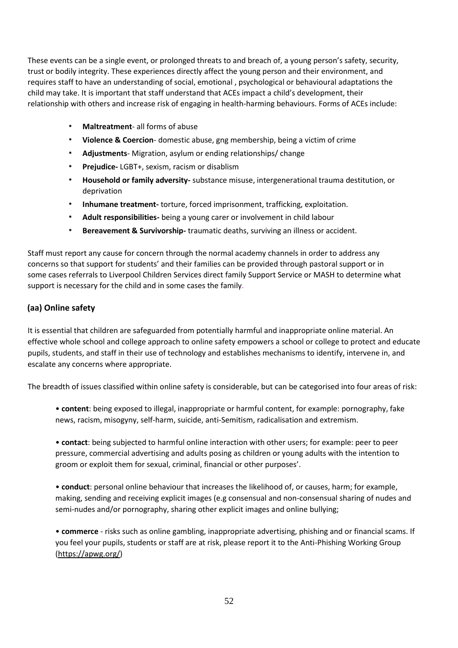These events can be a single event, or prolonged threats to and breach of, a young person's safety, security, trust or bodily integrity. These experiences directly affect the young person and their environment, and requires staff to have an understanding of social, emotional , psychological or behavioural adaptations the child may take. It is important that staff understand that ACEs impact a child's development, their relationship with others and increase risk of engaging in health-harming behaviours. Forms of ACEs include:

- **Maltreatment** all forms of abuse
- **Violence & Coercion** domestic abuse, gng membership, being a victim of crime
- **Adjustments** Migration, asylum or ending relationships/ change
- **Prejudice-** LGBT+, sexism, racism or disablism
- **Household or family adversity-** substance misuse, intergenerational trauma destitution, or deprivation
- **Inhumane treatment-** torture, forced imprisonment, trafficking, exploitation.
- **Adult responsibilities-** being a young carer or involvement in child labour
- **Bereavement & Survivorship-** traumatic deaths, surviving an illness or accident.

Staff must report any cause for concern through the normal academy channels in order to address any concerns so that support for students' and their families can be provided through pastoral support or in some cases referrals to Liverpool Children Services direct family Support Service or MASH to determine what support is necessary for the child and in some cases the family.

## **(aa) Online safety**

It is essential that children are safeguarded from potentially harmful and inappropriate online material. An effective whole school and college approach to online safety empowers a school or college to protect and educate pupils, students, and staff in their use of technology and establishes mechanisms to identify, intervene in, and escalate any concerns where appropriate.

The breadth of issues classified within online safety is considerable, but can be categorised into four areas of risk:

• **content**: being exposed to illegal, inappropriate or harmful content, for example: pornography, fake news, racism, misogyny, self-harm, suicide, anti-Semitism, radicalisation and extremism.

• **contact**: being subjected to harmful online interaction with other users; for example: peer to peer pressure, commercial advertising and adults posing as children or young adults with the intention to groom or exploit them for sexual, criminal, financial or other purposes'.

• **conduct**: personal online behaviour that increases the likelihood of, or causes, harm; for example, making, sending and receiving explicit images (e.g consensual and non-consensual sharing of nudes and semi-nudes and/or pornography, sharing other explicit images and online bullying;

• **commerce** - risks such as online gambling, inappropriate advertising, phishing and or financial scams. If you feel your pupils, students or staff are at risk, please report it to the Anti-Phishing Working Group [\(https://apwg.org/\)](https://apwg.org/)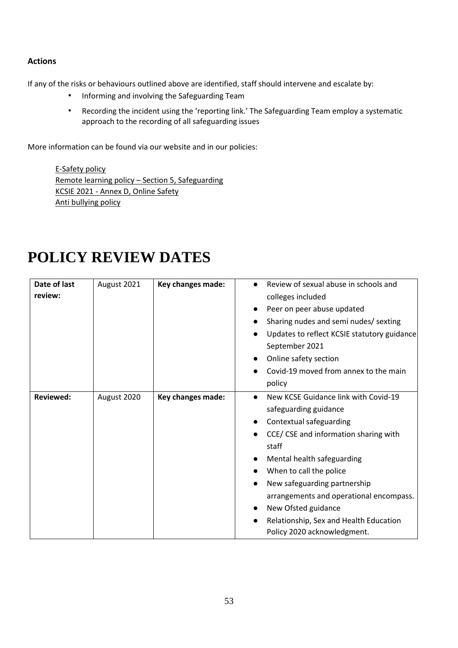## **Actions**

If any of the risks or behaviours outlined above are identified, staff should intervene and escalate by:

- Informing and involving the Safeguarding Team
- Recording the incident using the 'reporting link.' The Safeguarding Team employ a systematic approach to the recording of all safeguarding issues

More information can be found via our website and in our policies:

[E-Safety](https://www.kingswarrington.com/wp-content/uploads/2017/02/Responsible-use-of-the-Internet-E-Safety-Policy-1.pdf) policy [Remote learning policy](https://www.kingswarrington.com/wp-content/uploads/2020/11/Remote-Learning-Policy-1.pdf) – Section 5, Safeguarding KCSIE 2021 - [Annex D, Online Safety](https://assets.publishing.service.gov.uk/government/uploads/system/uploads/attachment_data/file/1007260/Keeping_children_safe_in_education_2021.pdf) [Anti bullying policy](https://www.kingswarrington.com/wp-content/uploads/2020/04/Anti-Bullying-Policy-Apr.pdf)

| Date of last<br>review: | August 2021 | Key changes made: | Review of sexual abuse in schools and<br>$\bullet$<br>colleges included<br>Peer on peer abuse updated<br>Sharing nudes and semi nudes/ sexting<br>Updates to reflect KCSIE statutory guidance<br>$\bullet$<br>September 2021<br>Online safety section<br>Covid-19 moved from annex to the main<br>policy                                                                                   |
|-------------------------|-------------|-------------------|--------------------------------------------------------------------------------------------------------------------------------------------------------------------------------------------------------------------------------------------------------------------------------------------------------------------------------------------------------------------------------------------|
| <b>Reviewed:</b>        | August 2020 | Key changes made: | New KCSE Guidance link with Covid-19<br>$\bullet$<br>safeguarding guidance<br>Contextual safeguarding<br>CCE/CSE and information sharing with<br>staff<br>Mental health safeguarding<br>When to call the police<br>New safeguarding partnership<br>arrangements and operational encompass.<br>New Ofsted guidance<br>Relationship, Sex and Health Education<br>Policy 2020 acknowledgment. |

## **POLICY REVIEW DATES**